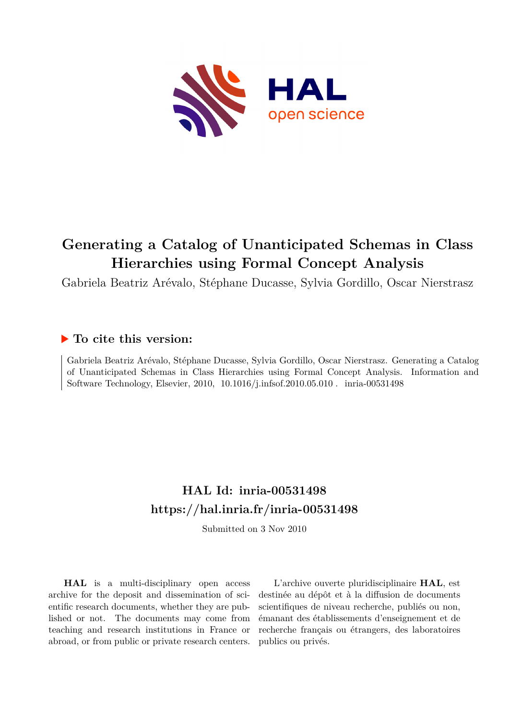

# **Generating a Catalog of Unanticipated Schemas in Class Hierarchies using Formal Concept Analysis**

Gabriela Beatriz Arévalo, Stéphane Ducasse, Sylvia Gordillo, Oscar Nierstrasz

# **To cite this version:**

Gabriela Beatriz Arévalo, Stéphane Ducasse, Sylvia Gordillo, Oscar Nierstrasz. Generating a Catalog of Unanticipated Schemas in Class Hierarchies using Formal Concept Analysis. Information and Software Technology, Elsevier, 2010,  $10.1016/j.infsof.2010.05.010$ . inria-00531498

# **HAL Id: inria-00531498 <https://hal.inria.fr/inria-00531498>**

Submitted on 3 Nov 2010

**HAL** is a multi-disciplinary open access archive for the deposit and dissemination of scientific research documents, whether they are published or not. The documents may come from teaching and research institutions in France or abroad, or from public or private research centers.

L'archive ouverte pluridisciplinaire **HAL**, est destinée au dépôt et à la diffusion de documents scientifiques de niveau recherche, publiés ou non, émanant des établissements d'enseignement et de recherche français ou étrangers, des laboratoires publics ou privés.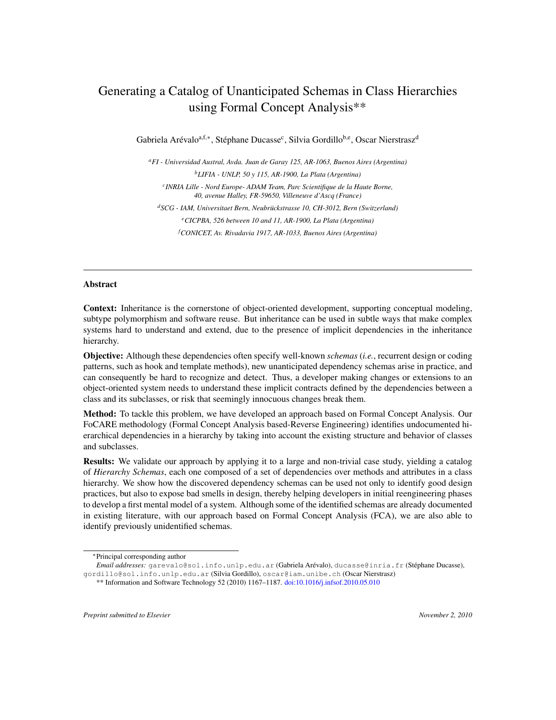# Generating a Catalog of Unanticipated Schemas in Class Hierarchies using Formal Concept Analysis\*\*

Gabriela Arévalo<sup>a,f,∗</sup>, Stéphane Ducasse<sup>c</sup>, Silvia Gordillo<sup>b,e</sup>, Oscar Nierstrasz<sup>d</sup>

*<sup>a</sup>FI - Universidad Austral, Avda. Juan de Garay 125, AR-1063, Buenos Aires (Argentina) <sup>b</sup>LIFIA - UNLP, 50 y 115, AR-1900, La Plata (Argentina)*

*c INRIA Lille - Nord Europe- ADAM Team, Parc Scientifique de la Haute Borne, 40, avenue Halley, FR-59650, Villeneuve d'Ascq (France)*

*<sup>d</sup>SCG - IAM, Universitaet Bern, Neubruckstrasse 10, CH-3012, Bern (Switzerland) ¨ <sup>e</sup>CICPBA, 526 between 10 and 11, AR-1900, La Plata (Argentina) <sup>f</sup>CONICET, Av. Rivadavia 1917, AR-1033, Buenos Aires (Argentina)*

#### Abstract

Context: Inheritance is the cornerstone of object-oriented development, supporting conceptual modeling, subtype polymorphism and software reuse. But inheritance can be used in subtle ways that make complex systems hard to understand and extend, due to the presence of implicit dependencies in the inheritance hierarchy.

Objective: Although these dependencies often specify well-known *schemas* (*i.e.*, recurrent design or coding patterns, such as hook and template methods), new unanticipated dependency schemas arise in practice, and can consequently be hard to recognize and detect. Thus, a developer making changes or extensions to an object-oriented system needs to understand these implicit contracts defined by the dependencies between a class and its subclasses, or risk that seemingly innocuous changes break them.

Method: To tackle this problem, we have developed an approach based on Formal Concept Analysis. Our FoCARE methodology (Formal Concept Analysis based-Reverse Engineering) identifies undocumented hierarchical dependencies in a hierarchy by taking into account the existing structure and behavior of classes and subclasses.

Results: We validate our approach by applying it to a large and non-trivial case study, yielding a catalog of *Hierarchy Schemas*, each one composed of a set of dependencies over methods and attributes in a class hierarchy. We show how the discovered dependency schemas can be used not only to identify good design practices, but also to expose bad smells in design, thereby helping developers in initial reengineering phases to develop a first mental model of a system. Although some of the identified schemas are already documented in existing literature, with our approach based on Formal Concept Analysis (FCA), we are also able to identify previously unidentified schemas.

*Preprint submitted to Elsevier November 2, 2010*

<sup>∗</sup>Principal corresponding author

*Email addresses*: garevalo@sol.info.unlp.edu.ar (Gabriela Arévalo), ducasse@inria.fr (Stéphane Ducasse), gordillo@sol.info.unlp.edu.ar (Silvia Gordillo), oscar@iam.unibe.ch (Oscar Nierstrasz)

<sup>\*\*</sup> Information and Software Technology 52 (2010) 1167–1187. [doi:10.1016/j.infsof.2010.05.010](http://dx.doi.org/10.1016/j.infsof.2010.05.010)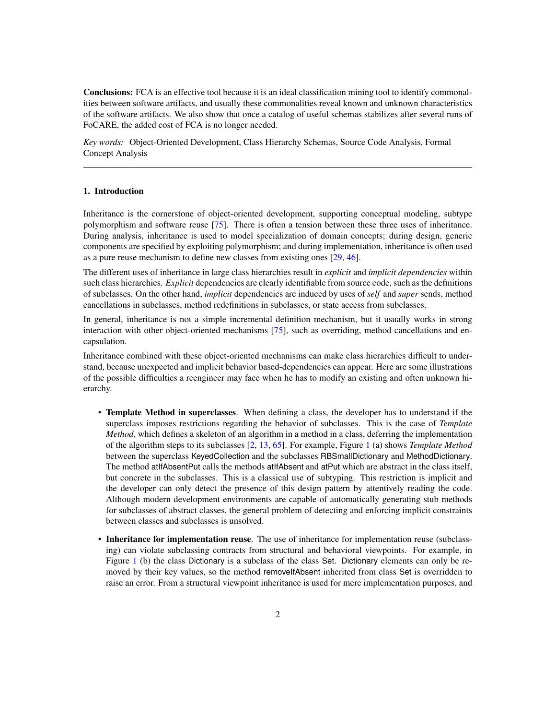Conclusions: FCA is an effective tool because it is an ideal classification mining tool to identify commonalities between software artifacts, and usually these commonalities reveal known and unknown characteristics of the software artifacts. We also show that once a catalog of useful schemas stabilizes after several runs of FoCARE, the added cost of FCA is no longer needed.

*Key words:* Object-Oriented Development, Class Hierarchy Schemas, Source Code Analysis, Formal Concept Analysis

### 1. Introduction

Inheritance is the cornerstone of object-oriented development, supporting conceptual modeling, subtype polymorphism and software reuse [\[75\]](#page-40-0). There is often a tension between these three uses of inheritance. During analysis, inheritance is used to model specialization of domain concepts; during design, generic components are specified by exploiting polymorphism; and during implementation, inheritance is often used as a pure reuse mechanism to define new classes from existing ones [\[29,](#page-37-0) [46\]](#page-38-0).

The different uses of inheritance in large class hierarchies result in *explicit* and *implicit dependencies* within such class hierarchies. *Explicit* dependencies are clearly identifiable from source code, such as the definitions of subclasses. On the other hand, *implicit* dependencies are induced by uses of *self* and *super* sends, method cancellations in subclasses, method redefinitions in subclasses, or state access from subclasses.

In general, inheritance is not a simple incremental definition mechanism, but it usually works in strong interaction with other object-oriented mechanisms [\[75\]](#page-40-0), such as overriding, method cancellations and encapsulation.

Inheritance combined with these object-oriented mechanisms can make class hierarchies difficult to understand, because unexpected and implicit behavior based-dependencies can appear. Here are some illustrations of the possible difficulties a reengineer may face when he has to modify an existing and often unknown hierarchy.

- Template Method in superclasses. When defining a class, the developer has to understand if the superclass imposes restrictions regarding the behavior of subclasses. This is the case of *Template Method*, which defines a skeleton of an algorithm in a method in a class, deferring the implementation of the algorithm steps to its subclasses [\[2,](#page-35-0) [13,](#page-36-0) [65\]](#page-39-0). For example, Figure [1](#page-3-0) (a) shows *Template Method* between the superclass KeyedCollection and the subclasses RBSmallDictionary and MethodDictionary. The method atlfAbsentPut calls the methods atlfAbsent and atPut which are abstract in the class itself, but concrete in the subclasses. This is a classical use of subtyping. This restriction is implicit and the developer can only detect the presence of this design pattern by attentively reading the code. Although modern development environments are capable of automatically generating stub methods for subclasses of abstract classes, the general problem of detecting and enforcing implicit constraints between classes and subclasses is unsolved.
- Inheritance for implementation reuse. The use of inheritance for implementation reuse (subclassing) can violate subclassing contracts from structural and behavioral viewpoints. For example, in Figure [1](#page-3-0) (b) the class Dictionary is a subclass of the class Set. Dictionary elements can only be removed by their key values, so the method removeIfAbsent inherited from class Set is overridden to raise an error. From a structural viewpoint inheritance is used for mere implementation purposes, and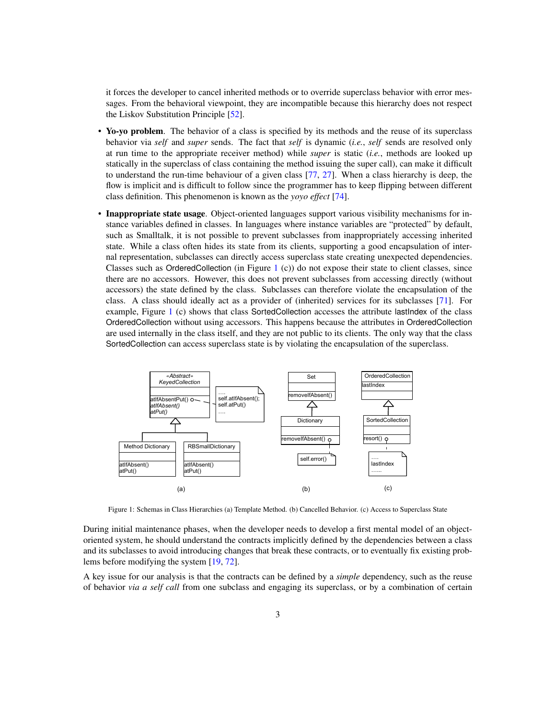it forces the developer to cancel inherited methods or to override superclass behavior with error messages. From the behavioral viewpoint, they are incompatible because this hierarchy does not respect the Liskov Substitution Principle [\[52\]](#page-38-1).

- Yo-yo problem. The behavior of a class is specified by its methods and the reuse of its superclass behavior via *self* and *super* sends. The fact that *self* is dynamic (*i.e.*, *self* sends are resolved only at run time to the appropriate receiver method) while *super* is static (*i.e.*, methods are looked up statically in the superclass of class containing the method issuing the super call), can make it difficult to understand the run-time behaviour of a given class  $[77, 27]$  $[77, 27]$  $[77, 27]$ . When a class hierarchy is deep, the flow is implicit and is difficult to follow since the programmer has to keep flipping between different class definition. This phenomenon is known as the *yoyo effect* [\[74\]](#page-40-2).
- Inappropriate state usage. Object-oriented languages support various visibility mechanisms for instance variables defined in classes. In languages where instance variables are "protected" by default, such as Smalltalk, it is not possible to prevent subclasses from inappropriately accessing inherited state. While a class often hides its state from its clients, supporting a good encapsulation of internal representation, subclasses can directly access superclass state creating unexpected dependencies. Classes such as OrderedCollection (in Figure  $1$  (c)) do not expose their state to client classes, since there are no accessors. However, this does not prevent subclasses from accessing directly (without accessors) the state defined by the class. Subclasses can therefore violate the encapsulation of the class. A class should ideally act as a provider of (inherited) services for its subclasses [\[71\]](#page-40-3). For example, Figure  $1$  (c) shows that class SortedCollection accesses the attribute last ndex of the class OrderedCollection without using accessors. This happens because the attributes in OrderedCollection are used internally in the class itself, and they are not public to its clients. The only way that the class SortedCollection can access superclass state is by violating the encapsulation of the superclass.



<span id="page-3-0"></span>Figure 1: Schemas in Class Hierarchies (a) Template Method. (b) Cancelled Behavior. (c) Access to Superclass State

During initial maintenance phases, when the developer needs to develop a first mental model of an objectoriented system, he should understand the contracts implicitly defined by the dependencies between a class and its subclasses to avoid introducing changes that break these contracts, or to eventually fix existing problems before modifying the system [\[19,](#page-36-1) [72\]](#page-40-4).

A key issue for our analysis is that the contracts can be defined by a *simple* dependency, such as the reuse of behavior *via a self call* from one subclass and engaging its superclass, or by a combination of certain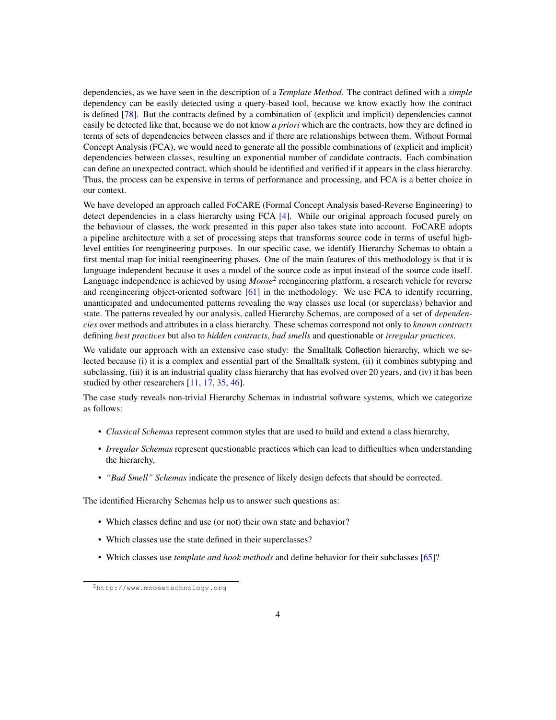dependencies, as we have seen in the description of a *Template Method*. The contract defined with a *simple* dependency can be easily detected using a query-based tool, because we know exactly how the contract is defined [\[78\]](#page-40-5). But the contracts defined by a combination of (explicit and implicit) dependencies cannot easily be detected like that, because we do not know *a priori* which are the contracts, how they are defined in terms of sets of dependencies between classes and if there are relationships between them. Without Formal Concept Analysis (FCA), we would need to generate all the possible combinations of (explicit and implicit) dependencies between classes, resulting an exponential number of candidate contracts. Each combination can define an unexpected contract, which should be identified and verified if it appears in the class hierarchy. Thus, the process can be expensive in terms of performance and processing, and FCA is a better choice in our context.

We have developed an approach called FoCARE (Formal Concept Analysis based-Reverse Engineering) to detect dependencies in a class hierarchy using FCA [\[4\]](#page-35-1). While our original approach focused purely on the behaviour of classes, the work presented in this paper also takes state into account. FoCARE adopts a pipeline architecture with a set of processing steps that transforms source code in terms of useful highlevel entities for reengineering purposes. In our specific case, we identify Hierarchy Schemas to obtain a first mental map for initial reengineering phases. One of the main features of this methodology is that it is language independent because it uses a model of the source code as input instead of the source code itself. Language independence is achieved by using *Moose*<sup>2</sup> reengineering platform, a research vehicle for reverse and reengineering object-oriented software [\[61\]](#page-39-1) in the methodology. We use FCA to identify recurring, unanticipated and undocumented patterns revealing the way classes use local (or superclass) behavior and state. The patterns revealed by our analysis, called Hierarchy Schemas, are composed of a set of *dependencies* over methods and attributes in a class hierarchy. These schemas correspond not only to *known contracts* defining *best practices* but also to *hidden contracts*, *bad smells* and questionable or *irregular practices*.

We validate our approach with an extensive case study: the Smalltalk Collection hierarchy, which we selected because (i) it is a complex and essential part of the Smalltalk system, (ii) it combines subtyping and subclassing, (iii) it is an industrial quality class hierarchy that has evolved over 20 years, and (iv) it has been studied by other researchers [\[11,](#page-36-2) [17,](#page-36-3) [35,](#page-37-2) [46\]](#page-38-0).

The case study reveals non-trivial Hierarchy Schemas in industrial software systems, which we categorize as follows:

- *Classical Schemas* represent common styles that are used to build and extend a class hierarchy,
- *Irregular Schemas* represent questionable practices which can lead to difficulties when understanding the hierarchy,
- *"Bad Smell" Schemas* indicate the presence of likely design defects that should be corrected.

The identified Hierarchy Schemas help us to answer such questions as:

- Which classes define and use (or not) their own state and behavior?
- Which classes use the state defined in their superclasses?
- Which classes use *template and hook methods* and define behavior for their subclasses [\[65\]](#page-39-0)?

<sup>2</sup>http://www.moosetechnology.org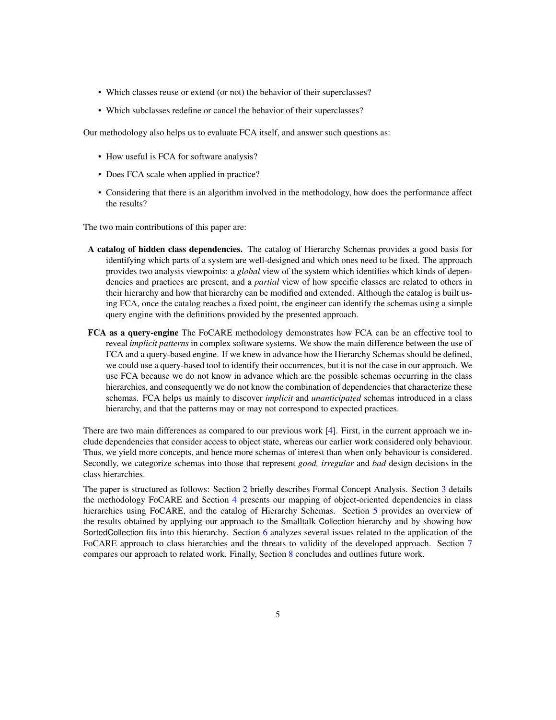- Which classes reuse or extend (or not) the behavior of their superclasses?
- Which subclasses redefine or cancel the behavior of their superclasses?

Our methodology also helps us to evaluate FCA itself, and answer such questions as:

- How useful is FCA for software analysis?
- Does FCA scale when applied in practice?
- Considering that there is an algorithm involved in the methodology, how does the performance affect the results?

The two main contributions of this paper are:

- A catalog of hidden class dependencies. The catalog of Hierarchy Schemas provides a good basis for identifying which parts of a system are well-designed and which ones need to be fixed. The approach provides two analysis viewpoints: a *global* view of the system which identifies which kinds of dependencies and practices are present, and a *partial* view of how specific classes are related to others in their hierarchy and how that hierarchy can be modified and extended. Although the catalog is built using FCA, once the catalog reaches a fixed point, the engineer can identify the schemas using a simple query engine with the definitions provided by the presented approach.
- FCA as a query-engine The FoCARE methodology demonstrates how FCA can be an effective tool to reveal *implicit patterns* in complex software systems. We show the main difference between the use of FCA and a query-based engine. If we knew in advance how the Hierarchy Schemas should be defined, we could use a query-based tool to identify their occurrences, but it is not the case in our approach. We use FCA because we do not know in advance which are the possible schemas occurring in the class hierarchies, and consequently we do not know the combination of dependencies that characterize these schemas. FCA helps us mainly to discover *implicit* and *unanticipated* schemas introduced in a class hierarchy, and that the patterns may or may not correspond to expected practices.

There are two main differences as compared to our previous work [\[4\]](#page-35-1). First, in the current approach we include dependencies that consider access to object state, whereas our earlier work considered only behaviour. Thus, we yield more concepts, and hence more schemas of interest than when only behaviour is considered. Secondly, we categorize schemas into those that represent *good, irregular* and *bad* design decisions in the class hierarchies.

The paper is structured as follows: Section [2](#page-6-0) briefly describes Formal Concept Analysis. Section [3](#page-7-0) details the methodology FoCARE and Section [4](#page-9-0) presents our mapping of object-oriented dependencies in class hierarchies using FoCARE, and the catalog of Hierarchy Schemas. Section [5](#page-20-0) provides an overview of the results obtained by applying our approach to the Smalltalk Collection hierarchy and by showing how SortedCollection fits into this hierarchy. Section [6](#page-25-0) analyzes several issues related to the application of the FoCARE approach to class hierarchies and the threats to validity of the developed approach. Section [7](#page-29-0) compares our approach to related work. Finally, Section [8](#page-34-0) concludes and outlines future work.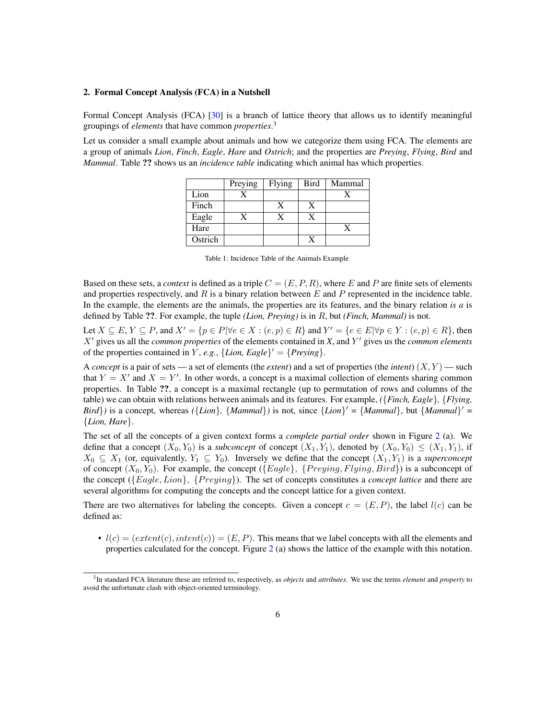# <span id="page-6-0"></span>2. Formal Concept Analysis (FCA) in a Nutshell

Formal Concept Analysis (FCA) [\[30\]](#page-37-3) is a branch of lattice theory that allows us to identify meaningful groupings of *elements* that have common *properties*. 3

Let us consider a small example about animals and how we categorize them using FCA. The elements are a group of animals *Lion*, *Finch*, *Eagle*, *Hare* and *Ostrich*; and the properties are *Preying*, *Flying*, *Bird* and *Mammal*. Table ?? shows us an *incidence table* indicating which animal has which properties.

|         | Preying | Flying | Bird | Mammal |
|---------|---------|--------|------|--------|
| Lion    |         |        |      |        |
| Finch   |         |        | X    |        |
| Eagle   |         |        |      |        |
| Hare    |         |        |      |        |
| Ostrich |         |        |      |        |

<span id="page-6-1"></span>Table 1: Incidence Table of the Animals Example

Based on these sets, a *context* is defined as a triple  $C = (E, P, R)$ , where E and P are finite sets of elements and properties respectively, and  $R$  is a binary relation between  $E$  and  $P$  represented in the incidence table. In the example, the elements are the animals, the properties are its features, and the binary relation *is a* is defined by Table ??. For example, the tuple *(Lion, Preying)* is in R, but *(Finch, Mammal)* is not.

Let  $X \subseteq E, Y \subseteq P$ , and  $X' = \{p \in P | \forall e \in X : (e, p) \in R\}$  and  $Y' = \{e \in E | \forall p \in Y : (e, p) \in R\}$ , then X′ gives us all the *common properties* of the elements contained in *X*, and Y ′ gives us the *common elements* of the properties contained in  $\hat{Y}$ , *e.g.*, {*Lion, Eagle*}' = {*Preying*}.

A *concept* is a pair of sets — a set of elements (the *extent*) and a set of properties (the *intent*)  $(X, Y)$  — such that  $Y = X'$  and  $X = Y'$ . In other words, a concept is a maximal collection of elements sharing common properties. In Table ??, a concept is a maximal rectangle (up to permutation of rows and columns of the table) we can obtain with relations between animals and its features. For example, *(*{*Finch, Eagle*}*,* {*Flying, Bird*<sup>}</sup>) is a concept, whereas *(*{*Lion*}, {*Mammal*}) is not, since {*Lion*}' = {*Mammal*}, but {*Mammal*}' = {*Lion, Hare*}.

The set of all the concepts of a given context forms a *complete partial order* shown in Figure [2](#page-7-1) (a). We define that a concept  $(X_0, Y_0)$  is a *subconcept* of concept  $(X_1, Y_1)$ , denoted by  $(X_0, Y_0) \leq (X_1, Y_1)$ , if  $X_0 \subseteq X_1$  (or, equivalently,  $Y_1 \subseteq Y_0$ ). Inversely we define that the concept  $(X_1, Y_1)$  is a *superconcept* of concept  $(X_0, Y_0)$ . For example, the concept  $({\text{Eagle}}\}$ ,  ${Preying, Flying, Bird}$  is a subconcept of the concept ({Eagle, Lion}, {P reying}). The set of concepts constitutes a *concept lattice* and there are several algorithms for computing the concepts and the concept lattice for a given context.

There are two alternatives for labeling the concepts. Given a concept  $c = (E, P)$ , the label  $l(c)$  can be defined as:

•  $l(c) = (extent(c), intent(c)) = (E, P)$ . This means that we label concepts with all the elements and properties calculated for the concept. Figure [2](#page-7-1) (a) shows the lattice of the example with this notation.

<sup>3</sup> In standard FCA literature these are referred to, respectively, as *objects* and *attributes*. We use the terms *element* and *property* to avoid the unfortunate clash with object-oriented terminology.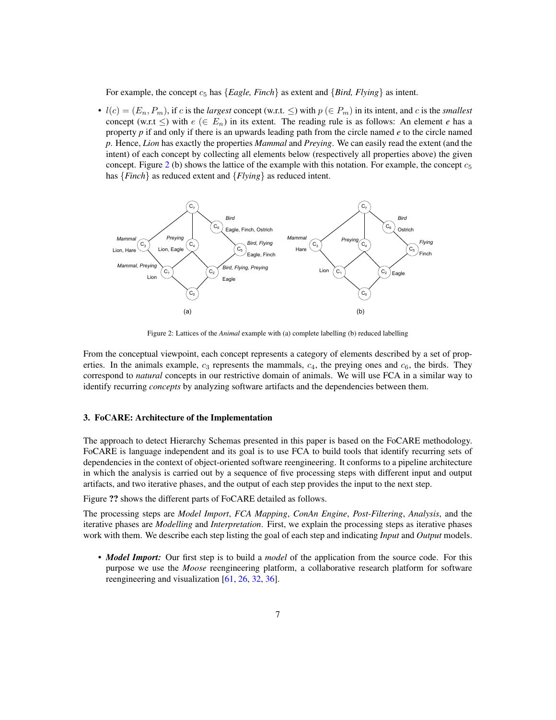For example, the concept  $c_5$  has  ${Eagle, Find}$  as extent and  ${Bird, Flying}$  as intent.

•  $l(c) = (E_n, P_m)$ , if c is the *largest* concept (w.r.t.  $\leq$ ) with  $p \in P_m$ ) in its intent, and c is the *smallest* concept (w.r.t  $\leq$ ) with  $e \in E_n$ ) in its extent. The reading rule is as follows: An element *e* has a property *p* if and only if there is an upwards leading path from the circle named *e* to the circle named *p*. Hence, *Lion* has exactly the properties *Mammal* and *Preying*. We can easily read the extent (and the intent) of each concept by collecting all elements below (respectively all properties above) the given concept. Figure [2](#page-7-1) (b) shows the lattice of the example with this notation. For example, the concept  $c_5$ has {*Finch*} as reduced extent and {*Flying*} as reduced intent.



<span id="page-7-1"></span>Figure 2: Lattices of the *Animal* example with (a) complete labelling (b) reduced labelling

From the conceptual viewpoint, each concept represents a category of elements described by a set of properties. In the animals example,  $c_3$  represents the mammals,  $c_4$ , the preying ones and  $c_6$ , the birds. They correspond to *natural* concepts in our restrictive domain of animals. We will use FCA in a similar way to identify recurring *concepts* by analyzing software artifacts and the dependencies between them.

## <span id="page-7-0"></span>3. FoCARE: Architecture of the Implementation

The approach to detect Hierarchy Schemas presented in this paper is based on the FoCARE methodology. FoCARE is language independent and its goal is to use FCA to build tools that identify recurring sets of dependencies in the context of object-oriented software reengineering. It conforms to a pipeline architecture in which the analysis is carried out by a sequence of five processing steps with different input and output artifacts, and two iterative phases, and the output of each step provides the input to the next step.

Figure ?? shows the different parts of FoCARE detailed as follows.

The processing steps are *Model Import*, *FCA Mapping*, *ConAn Engine*, *Post-Filtering*, *Analysis*, and the iterative phases are *Modelling* and *Interpretation*. First, we explain the processing steps as iterative phases work with them. We describe each step listing the goal of each step and indicating *Input* and *Output* models.

• *Model Import:* Our first step is to build a *model* of the application from the source code. For this purpose we use the *Moose* reengineering platform, a collaborative research platform for software reengineering and visualization [\[61,](#page-39-1) [26,](#page-37-4) [32,](#page-37-5) [36\]](#page-37-6).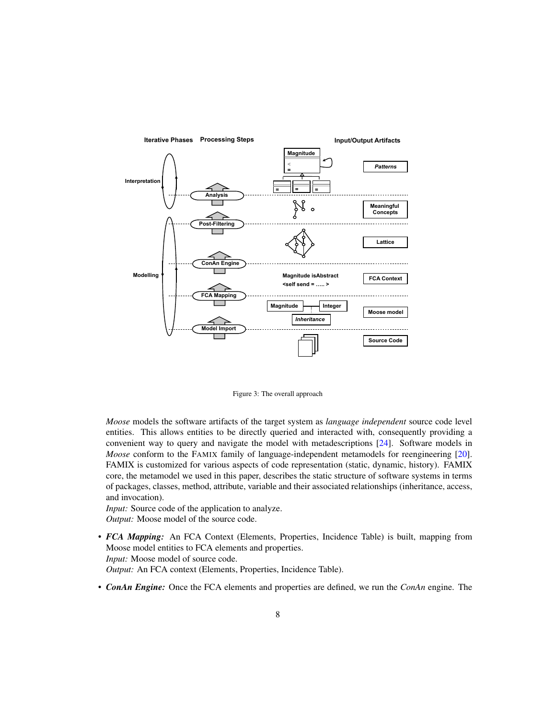

<span id="page-8-0"></span>Figure 3: The overall approach

*Moose* models the software artifacts of the target system as *language independent* source code level entities. This allows entities to be directly queried and interacted with, consequently providing a convenient way to query and navigate the model with metadescriptions [\[24\]](#page-37-7). Software models in *Moose* conform to the FAMIX family of language-independent metamodels for reengineering [\[20\]](#page-36-4). FAMIX is customized for various aspects of code representation (static, dynamic, history). FAMIX core, the metamodel we used in this paper, describes the static structure of software systems in terms of packages, classes, method, attribute, variable and their associated relationships (inheritance, access, and invocation).

*Input:* Source code of the application to analyze. *Output:* Moose model of the source code.

- *FCA Mapping:* An FCA Context (Elements, Properties, Incidence Table) is built, mapping from Moose model entities to FCA elements and properties. *Input:* Moose model of source code. *Output:* An FCA context (Elements, Properties, Incidence Table).
- *ConAn Engine:* Once the FCA elements and properties are defined, we run the *ConAn* engine. The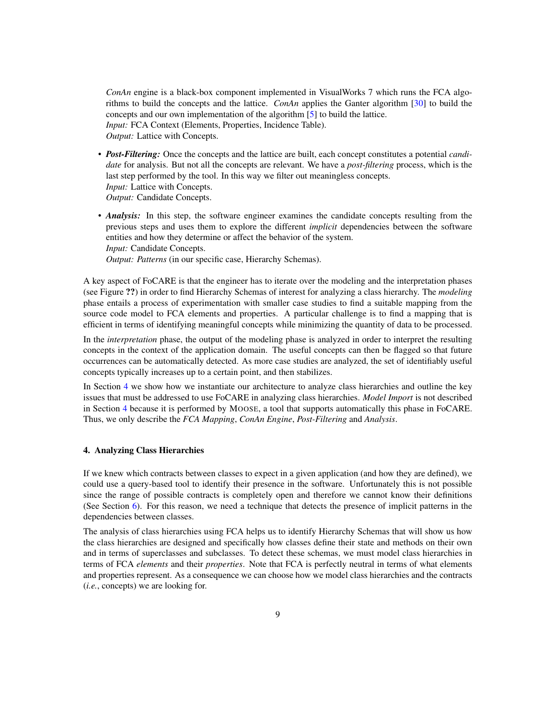*ConAn* engine is a black-box component implemented in VisualWorks 7 which runs the FCA algorithms to build the concepts and the lattice. *ConAn* applies the Ganter algorithm [\[30\]](#page-37-3) to build the concepts and our own implementation of the algorithm [\[5\]](#page-35-2) to build the lattice. *Input:* FCA Context (Elements, Properties, Incidence Table). *Output:* Lattice with Concepts.

- *Post-Filtering:* Once the concepts and the lattice are built, each concept constitutes a potential *candidate* for analysis. But not all the concepts are relevant. We have a *post-filtering* process, which is the last step performed by the tool. In this way we filter out meaningless concepts. *Input:* Lattice with Concepts. *Output:* Candidate Concepts.
- *Analysis:* In this step, the software engineer examines the candidate concepts resulting from the previous steps and uses them to explore the different *implicit* dependencies between the software entities and how they determine or affect the behavior of the system. *Input:* Candidate Concepts. *Output: Patterns* (in our specific case, Hierarchy Schemas).

A key aspect of FoCARE is that the engineer has to iterate over the modeling and the interpretation phases (see Figure ??) in order to find Hierarchy Schemas of interest for analyzing a class hierarchy. The *modeling* phase entails a process of experimentation with smaller case studies to find a suitable mapping from the source code model to FCA elements and properties. A particular challenge is to find a mapping that is efficient in terms of identifying meaningful concepts while minimizing the quantity of data to be processed.

In the *interpretation* phase, the output of the modeling phase is analyzed in order to interpret the resulting concepts in the context of the application domain. The useful concepts can then be flagged so that future occurrences can be automatically detected. As more case studies are analyzed, the set of identifiably useful concepts typically increases up to a certain point, and then stabilizes.

In Section [4](#page-9-0) we show how we instantiate our architecture to analyze class hierarchies and outline the key issues that must be addressed to use FoCARE in analyzing class hierarchies. *Model Import* is not described in Section [4](#page-9-0) because it is performed by MOOSE, a tool that supports automatically this phase in FoCARE. Thus, we only describe the *FCA Mapping*, *ConAn Engine*, *Post-Filtering* and *Analysis*.

## <span id="page-9-0"></span>4. Analyzing Class Hierarchies

If we knew which contracts between classes to expect in a given application (and how they are defined), we could use a query-based tool to identify their presence in the software. Unfortunately this is not possible since the range of possible contracts is completely open and therefore we cannot know their definitions (See Section [6\)](#page-25-0). For this reason, we need a technique that detects the presence of implicit patterns in the dependencies between classes.

The analysis of class hierarchies using FCA helps us to identify Hierarchy Schemas that will show us how the class hierarchies are designed and specifically how classes define their state and methods on their own and in terms of superclasses and subclasses. To detect these schemas, we must model class hierarchies in terms of FCA *elements* and their *properties*. Note that FCA is perfectly neutral in terms of what elements and properties represent. As a consequence we can choose how we model class hierarchies and the contracts (*i.e.*, concepts) we are looking for.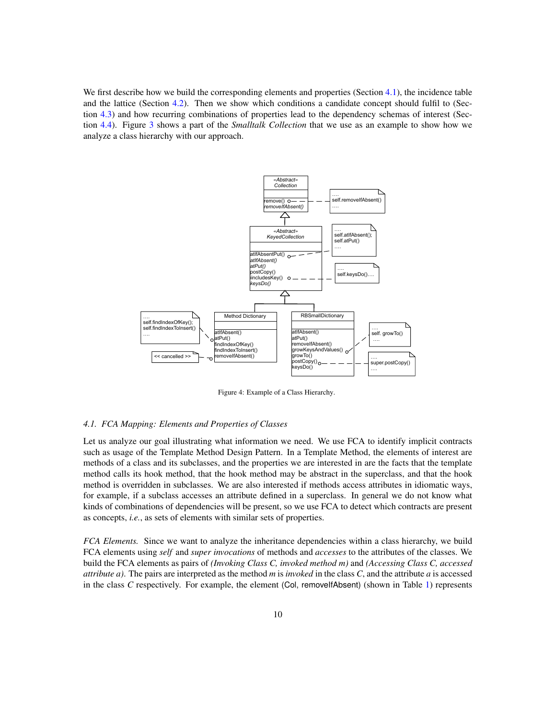We first describe how we build the corresponding elements and properties (Section [4.1\)](#page-10-0), the incidence table and the lattice (Section [4.2\)](#page-14-0). Then we show which conditions a candidate concept should fulfil to (Sec-tion [4.3\)](#page-15-0) and how recurring combinations of properties lead to the dependency schemas of interest (Section [4.4\)](#page-16-0). Figure [3](#page-8-0) shows a part of the *Smalltalk Collection* that we use as an example to show how we analyze a class hierarchy with our approach.



Figure 4: Example of a Class Hierarchy.

### <span id="page-10-0"></span>*4.1. FCA Mapping: Elements and Properties of Classes*

Let us analyze our goal illustrating what information we need. We use FCA to identify implicit contracts such as usage of the Template Method Design Pattern. In a Template Method, the elements of interest are methods of a class and its subclasses, and the properties we are interested in are the facts that the template method calls its hook method, that the hook method may be abstract in the superclass, and that the hook method is overridden in subclasses. We are also interested if methods access attributes in idiomatic ways, for example, if a subclass accesses an attribute defined in a superclass. In general we do not know what kinds of combinations of dependencies will be present, so we use FCA to detect which contracts are present as concepts, *i.e.*, as sets of elements with similar sets of properties.

*FCA Elements.* Since we want to analyze the inheritance dependencies within a class hierarchy, we build FCA elements using *self* and *super invocations* of methods and *accesses* to the attributes of the classes. We build the FCA elements as pairs of *(Invoking Class C, invoked method m)* and *(Accessing Class C, accessed attribute a)*. The pairs are interpreted as the method *m* is *invoked* in the class *C*, and the attribute *a* is accessed in the class *C* respectively. For example, the element (Col, removelfAbsent) (shown in Table [1\)](#page-6-1) represents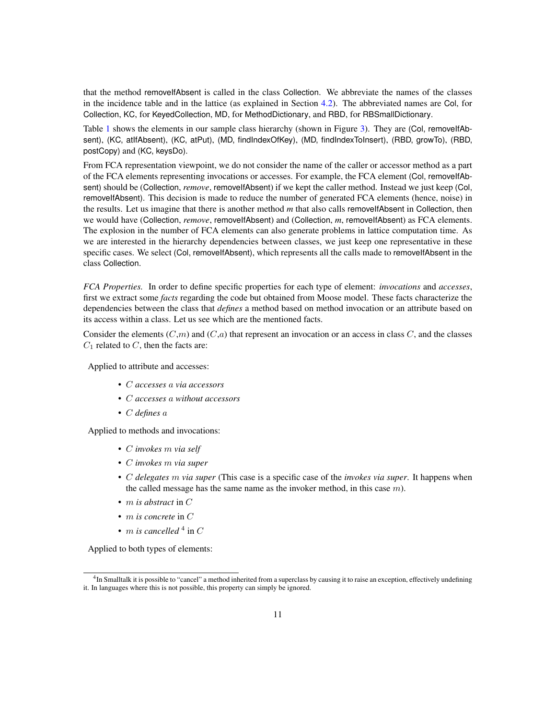that the method removeIfAbsent is called in the class Collection. We abbreviate the names of the classes in the incidence table and in the lattice (as explained in Section [4.2\)](#page-14-0). The abbreviated names are Col, for Collection, KC, for KeyedCollection, MD, for MethodDictionary, and RBD, for RBSmallDictionary.

Table [1](#page-6-1) shows the elements in our sample class hierarchy (shown in Figure [3\)](#page-8-0). They are (Col, removelfAbsent), (KC, atlfAbsent), (KC, atPut), (MD, findIndexOfKey), (MD, findIndexToInsert), (RBD, growTo), (RBD, postCopy) and (KC, keysDo).

From FCA representation viewpoint, we do not consider the name of the caller or accessor method as a part of the FCA elements representing invocations or accesses. For example, the FCA element (Col, removeIfAbsent) should be (Collection, *remove*, removeIfAbsent) if we kept the caller method. Instead we just keep (Col, removeIfAbsent). This decision is made to reduce the number of generated FCA elements (hence, noise) in the results. Let us imagine that there is another method *m* that also calls removeIfAbsent in Collection, then we would have (Collection,  $remove$ , removelfAbsent) and (Collection,  $m$ , removelfAbsent) as FCA elements. The explosion in the number of FCA elements can also generate problems in lattice computation time. As we are interested in the hierarchy dependencies between classes, we just keep one representative in these specific cases. We select (Col, removelfAbsent), which represents all the calls made to removelfAbsent in the class Collection.

*FCA Properties.* In order to define specific properties for each type of element: *invocations* and *accesses*, first we extract some *facts* regarding the code but obtained from Moose model. These facts characterize the dependencies between the class that *defines* a method based on method invocation or an attribute based on its access within a class. Let us see which are the mentioned facts.

Consider the elements  $(C,m)$  and  $(C,a)$  that represent an invocation or an access in class C, and the classes  $C_1$  related to  $C$ , then the facts are:

Applied to attribute and accesses:

- C *accesses* a *via accessors*
- C *accesses* a *without accessors*
- C *defines* a

Applied to methods and invocations:

- C *invokes* m *via self*
- C *invokes* m *via super*
- C *delegates* m *via super* (This case is a specific case of the *invokes via super*. It happens when the called message has the same name as the invoker method, in this case  $m$ ).
- m *is abstract* in C
- m *is concrete* in C
- $m$  is cancelled <sup>4</sup> in C

Applied to both types of elements:

<sup>&</sup>lt;sup>4</sup>In Smalltalk it is possible to "cancel" a method inherited from a superclass by causing it to raise an exception, effectively undefining it. In languages where this is not possible, this property can simply be ignored.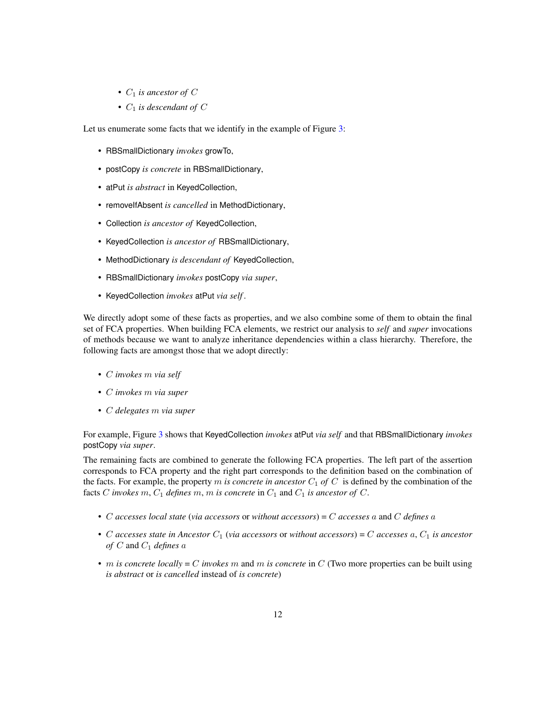- $C_1$  *is ancestor of*  $C$
- $C_1$  *is descendant of*  $C$

Let us enumerate some facts that we identify in the example of Figure [3:](#page-8-0)

- RBSmallDictionary *invokes* growTo,
- postCopy *is concrete* in RBSmallDictionary,
- atPut *is abstract* in KeyedCollection,
- removeIfAbsent *is cancelled* in MethodDictionary,
- Collection *is ancestor of* KeyedCollection,
- KeyedCollection *is ancestor of* RBSmallDictionary,
- MethodDictionary *is descendant of* KeyedCollection,
- RBSmallDictionary *invokes* postCopy *via super*,
- KeyedCollection *invokes* atPut *via self* .

We directly adopt some of these facts as properties, and we also combine some of them to obtain the final set of FCA properties. When building FCA elements, we restrict our analysis to *self* and *super* invocations of methods because we want to analyze inheritance dependencies within a class hierarchy. Therefore, the following facts are amongst those that we adopt directly:

- C *invokes* m *via self*
- C *invokes* m *via super*
- C *delegates* m *via super*

For example, Figure [3](#page-8-0) shows that KeyedCollection *invokes* atPut *via self* and that RBSmallDictionary *invokes* postCopy *via super*.

The remaining facts are combined to generate the following FCA properties. The left part of the assertion corresponds to FCA property and the right part corresponds to the definition based on the combination of the facts. For example, the property m *is concrete in ancestor*  $C_1$  *of*  $C$  is defined by the combination of the facts C *invokes*  $m$ ,  $C_1$  *defines*  $m$ ,  $m$  *is concrete* in  $C_1$  and  $C_1$  *is ancestor of*  $C$ .

- C *accesses local state* (*via accessors* or *without accessors*) = C *accesses* a and C *defines* a
- C *accesses state in Ancestor*  $C_1$  (*via accessors* or *without accessors*) = C *accesses*  $a, C_1$  *is ancestor of*  $C$  and  $C_1$  *defines*  $a$
- m *is concrete locally* = C *invokes* m and m *is concrete* in C (Two more properties can be built using *is abstract* or *is cancelled* instead of *is concrete*)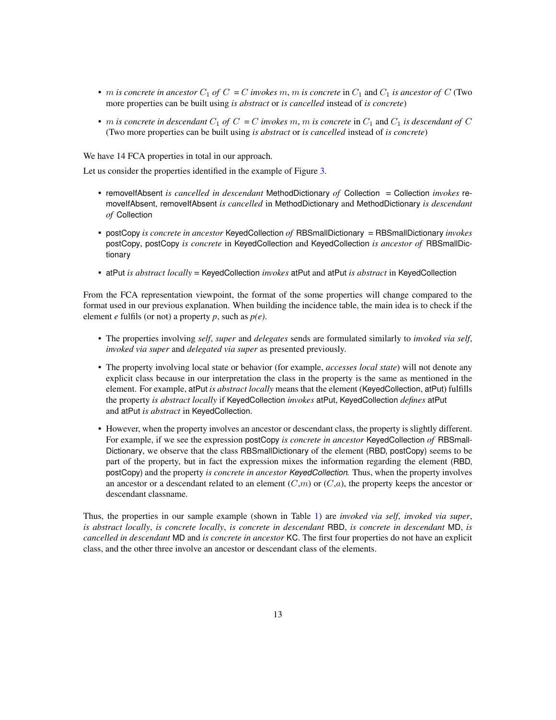- m *is concrete in ancestor*  $C_1$  *of*  $C = C$  *invokes*  $m$ ,  $m$  *is concrete* in  $C_1$  and  $C_1$  *is ancestor of*  $C$  (Two more properties can be built using *is abstract* or *is cancelled* instead of *is concrete*)
- m *is concrete in descendant*  $C_1$  *of*  $C = C$  *invokes*  $m$ ,  $m$  *is concrete* in  $C_1$  and  $C_1$  *is descendant of*  $C$ (Two more properties can be built using *is abstract* or *is cancelled* instead of *is concrete*)

We have 14 FCA properties in total in our approach.

Let us consider the properties identified in the example of Figure [3.](#page-8-0)

- removeIfAbsent *is cancelled in descendant* MethodDictionary *of* Collection = Collection *invokes* removeIfAbsent, removeIfAbsent *is cancelled* in MethodDictionary and MethodDictionary *is descendant of* Collection
- postCopy *is concrete in ancestor* KeyedCollection *of* RBSmallDictionary = RBSmallDictionary *invokes* postCopy, postCopy *is concrete* in KeyedCollection and KeyedCollection *is ancestor of* RBSmallDictionary
- atPut *is abstract locally* = KeyedCollection *invokes* atPut and atPut *is abstract* in KeyedCollection

From the FCA representation viewpoint, the format of the some properties will change compared to the format used in our previous explanation. When building the incidence table, the main idea is to check if the element *e* fulfils (or not) a property *p*, such as *p(e)*.

- The properties involving *self*, *super* and *delegates* sends are formulated similarly to *invoked via self*, *invoked via super* and *delegated via super* as presented previously.
- The property involving local state or behavior (for example, *accesses local state*) will not denote any explicit class because in our interpretation the class in the property is the same as mentioned in the element. For example, atPut *is abstract locally* means that the element (KeyedCollection, atPut) fulfills the property *is abstract locally* if KeyedCollection *invokes* atPut, KeyedCollection *defines* atPut and atPut *is abstract* in KeyedCollection.
- However, when the property involves an ancestor or descendant class, the property is slightly different. For example, if we see the expression postCopy *is concrete in ancestor* KeyedCollection *of* RBSmall-Dictionary, we observe that the class RBSmallDictionary of the element (RBD, postCopy) seems to be part of the property, but in fact the expression mixes the information regarding the element (RBD, postCopy) and the property *is concrete in ancestor KeyedCollection.* Thus, when the property involves an ancestor or a descendant related to an element  $(C,m)$  or  $(C,a)$ , the property keeps the ancestor or descendant classname.

Thus, the properties in our sample example (shown in Table [1\)](#page-6-1) are *invoked via self*, *invoked via super*, *is abstract locally*, *is concrete locally*, *is concrete in descendant* RBD, *is concrete in descendant* MD, *is cancelled in descendant* MD and *is concrete in ancestor* KC. The first four properties do not have an explicit class, and the other three involve an ancestor or descendant class of the elements.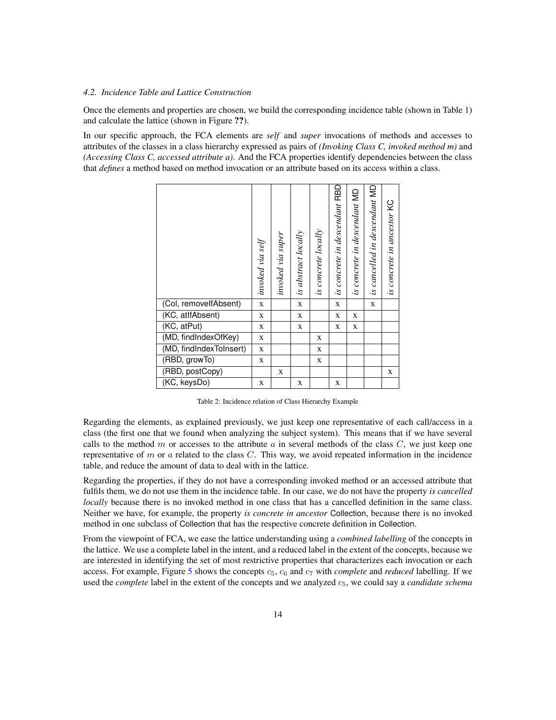#### <span id="page-14-0"></span>*4.2. Incidence Table and Lattice Construction*

Once the elements and properties are chosen, we build the corresponding incidence table (shown in Table [1\)](#page-6-1) and calculate the lattice (shown in Figure ??).

In our specific approach, the FCA elements are *self* and *super* invocations of methods and accesses to attributes of the classes in a class hierarchy expressed as pairs of *(Invoking Class C, invoked method m)* and *(Accessing Class C, accessed attribute a)*. And the FCA properties identify dependencies between the class that *defines* a method based on method invocation or an attribute based on its access within a class.

|                         | invoked via self | invoked via super | is abstract locally | is concrete locally | is concrete in descendant RBD | is concrete in descendant MD | cancelled in descendant MD<br>Š. | is concrete in ancestor KC |
|-------------------------|------------------|-------------------|---------------------|---------------------|-------------------------------|------------------------------|----------------------------------|----------------------------|
| (Col, removelfAbsent)   | $\mathbf X$      |                   | X                   |                     | X                             |                              | X                                |                            |
| (KC, atlfAbsent)        | X                |                   | X                   |                     | X                             | X                            |                                  |                            |
| (KC, artPut)            | X                |                   | X                   |                     | X                             | X                            |                                  |                            |
| (MD, findIndexOfKey)    | X                |                   |                     | X                   |                               |                              |                                  |                            |
| (MD, findIndexToInsert) | X                |                   |                     | X                   |                               |                              |                                  |                            |
| (RBD, growTo)           | X                |                   |                     | X                   |                               |                              |                                  |                            |
| (RBD, postCopy)         |                  | X                 |                     |                     |                               |                              |                                  | X                          |
| (KC, keysDo)            | X                |                   | X                   |                     | X                             |                              |                                  |                            |

<span id="page-14-1"></span>Table 2: Incidence relation of Class Hierarchy Example

Regarding the elements, as explained previously, we just keep one representative of each call/access in a class (the first one that we found when analyzing the subject system). This means that if we have several calls to the method m or accesses to the attribute a in several methods of the class  $C$ , we just keep one representative of  $m$  or  $a$  related to the class  $C$ . This way, we avoid repeated information in the incidence table, and reduce the amount of data to deal with in the lattice.

Regarding the properties, if they do not have a corresponding invoked method or an accessed attribute that fulfils them, we do not use them in the incidence table. In our case, we do not have the property *is cancelled locally* because there is no invoked method in one class that has a cancelled definition in the same class. Neither we have, for example, the property *is concrete in ancestor* Collection, because there is no invoked method in one subclass of Collection that has the respective concrete definition in Collection.

From the viewpoint of FCA, we ease the lattice understanding using a *combined labelling* of the concepts in the lattice. We use a complete label in the intent, and a reduced label in the extent of the concepts, because we are interested in identifying the set of most restrictive properties that characterizes each invocation or each access. For example, Figure [5](#page-15-1) shows the concepts  $c_5$ ,  $c_6$  and  $c_7$  with *complete* and *reduced* labelling. If we used the *complete* label in the extent of the concepts and we analyzed  $c_5$ , we could say a *candidate schema*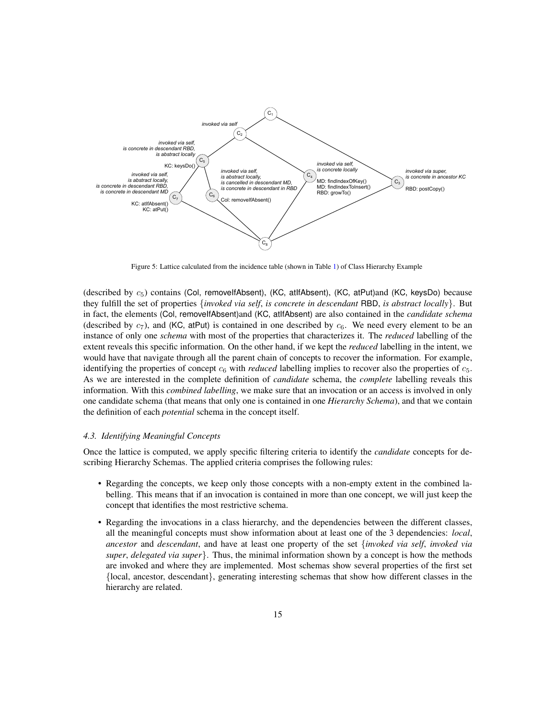

<span id="page-15-1"></span>Figure 5: Lattice calculated from the incidence table (shown in Table [1\)](#page-6-1) of Class Hierarchy Example

(described by  $c_5$ ) contains (Col, removelfAbsent), (KC, atIfAbsent), (KC, atPut)and (KC, keysDo) because they fulfill the set of properties {*invoked via self*, *is concrete in descendant* RBD, *is abstract locally*}. But in fact, the elements (Col, removeIfAbsent)and (KC, atIfAbsent) are also contained in the *candidate schema* (described by  $c_7$ ), and (KC, atPut) is contained in one described by  $c_6$ . We need every element to be an instance of only one *schema* with most of the properties that characterizes it. The *reduced* labelling of the extent reveals this specific information. On the other hand, if we kept the *reduced* labelling in the intent, we would have that navigate through all the parent chain of concepts to recover the information. For example, identifying the properties of concept  $c_6$  with *reduced* labelling implies to recover also the properties of  $c_5$ . As we are interested in the complete definition of *candidate* schema, the *complete* labelling reveals this information. With this *combined labelling*, we make sure that an invocation or an access is involved in only one candidate schema (that means that only one is contained in one *Hierarchy Schema*), and that we contain the definition of each *potential* schema in the concept itself.

#### <span id="page-15-0"></span>*4.3. Identifying Meaningful Concepts*

Once the lattice is computed, we apply specific filtering criteria to identify the *candidate* concepts for describing Hierarchy Schemas. The applied criteria comprises the following rules:

- Regarding the concepts, we keep only those concepts with a non-empty extent in the combined labelling. This means that if an invocation is contained in more than one concept, we will just keep the concept that identifies the most restrictive schema.
- Regarding the invocations in a class hierarchy, and the dependencies between the different classes, all the meaningful concepts must show information about at least one of the 3 dependencies: *local*, *ancestor* and *descendant*, and have at least one property of the set {*invoked via self*, *invoked via super*, *delegated via super*}. Thus, the minimal information shown by a concept is how the methods are invoked and where they are implemented. Most schemas show several properties of the first set {local, ancestor, descendant}, generating interesting schemas that show how different classes in the hierarchy are related.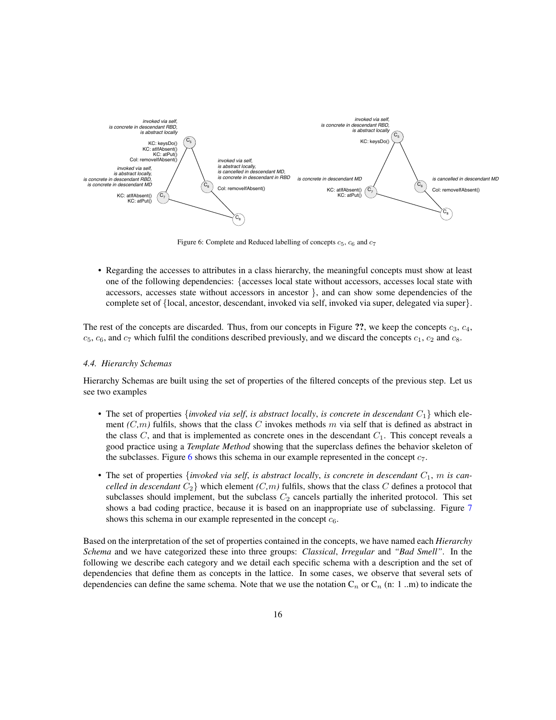

<span id="page-16-1"></span>Figure 6: Complete and Reduced labelling of concepts  $c_5$ ,  $c_6$  and  $c_7$ 

• Regarding the accesses to attributes in a class hierarchy, the meaningful concepts must show at least one of the following dependencies: {accesses local state without accessors, accesses local state with accessors, accesses state without accessors in ancestor }, and can show some dependencies of the complete set of {local, ancestor, descendant, invoked via self, invoked via super, delegated via super}.

The rest of the concepts are discarded. Thus, from our concepts in Figure ??, we keep the concepts  $c_3$ ,  $c_4$ ,  $c_5$ ,  $c_6$ , and  $c_7$  which fulfil the conditions described previously, and we discard the concepts  $c_1$ ,  $c_2$  and  $c_8$ .

#### <span id="page-16-0"></span>*4.4. Hierarchy Schemas*

Hierarchy Schemas are built using the set of properties of the filtered concepts of the previous step. Let us see two examples

- The set of properties  $\{invoked\ via\ self, \ is\ abstract\ locally, \ is\ concrete\ in\ descendant\ C_1\}$  which element  $(C,m)$  fulfils, shows that the class C invokes methods m via self that is defined as abstract in the class  $C$ , and that is implemented as concrete ones in the descendant  $C_1$ . This concept reveals a good practice using a *Template Method* showing that the superclass defines the behavior skeleton of the subclasses. Figure [6](#page-16-1) shows this schema in our example represented in the concept  $c_7$ .
- The set of properties  $\{invoked\ via\ self, \ is\ abstract\ locally, \ is\ concrete\ in\ descendant\ C_1, \ m\ is\ can\$ *celled in descendant*  $C_2$ } which element *(C,m)* fulfils, shows that the class C defines a protocol that subclasses should implement, but the subclass  $C_2$  cancels partially the inherited protocol. This set shows a bad coding practice, because it is based on an inappropriate use of subclassing. Figure [7](#page-19-0) shows this schema in our example represented in the concept  $c_6$ .

Based on the interpretation of the set of properties contained in the concepts, we have named each *Hierarchy Schema* and we have categorized these into three groups: *Classical*, *Irregular* and *"Bad Smell"*. In the following we describe each category and we detail each specific schema with a description and the set of dependencies that define them as concepts in the lattice. In some cases, we observe that several sets of dependencies can define the same schema. Note that we use the notation  $C_n$  or  $C_n$  (n: 1 ..m) to indicate the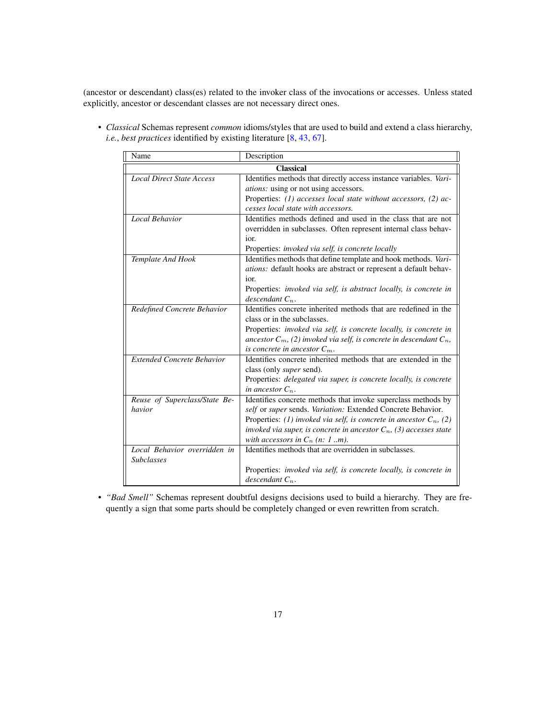(ancestor or descendant) class(es) related to the invoker class of the invocations or accesses. Unless stated explicitly, ancestor or descendant classes are not necessary direct ones.

| Name                              | Description                                                              |  |  |  |
|-----------------------------------|--------------------------------------------------------------------------|--|--|--|
| <b>Classical</b>                  |                                                                          |  |  |  |
| <b>Local Direct State Access</b>  | Identifies methods that directly access instance variables. Vari-        |  |  |  |
|                                   | <i>ations:</i> using or not using accessors.                             |  |  |  |
|                                   | Properties: (1) accesses local state without accessors, (2) ac-          |  |  |  |
|                                   | cesses local state with accessors.                                       |  |  |  |
| <b>Local Behavior</b>             | Identifies methods defined and used in the class that are not            |  |  |  |
|                                   | overridden in subclasses. Often represent internal class behav-          |  |  |  |
|                                   | ior.                                                                     |  |  |  |
|                                   | Properties: invoked via self, is concrete locally                        |  |  |  |
| Template And Hook                 | Identifies methods that define template and hook methods. Vari-          |  |  |  |
|                                   | ations: default hooks are abstract or represent a default behav-         |  |  |  |
|                                   | ior.                                                                     |  |  |  |
|                                   | Properties: <i>invoked via self, is abstract locally, is concrete in</i> |  |  |  |
|                                   | descendant $C_n$ .                                                       |  |  |  |
| Redefined Concrete Behavior       | Identifies concrete inherited methods that are redefined in the          |  |  |  |
|                                   | class or in the subclasses.                                              |  |  |  |
|                                   | Properties: invoked via self, is concrete locally, is concrete in        |  |  |  |
|                                   | ancestor $C_m$ , (2) invoked via self, is concrete in descendant $C_n$ , |  |  |  |
|                                   | is concrete in ancestor $C_m$ .                                          |  |  |  |
| <b>Extended Concrete Behavior</b> | Identifies concrete inherited methods that are extended in the           |  |  |  |
|                                   | class (only <i>super</i> send).                                          |  |  |  |
|                                   | Properties: delegated via super, is concrete locally, is concrete        |  |  |  |
|                                   | in ancestor $C_n$ .                                                      |  |  |  |
| Reuse of Superclass/State Be-     | Identifies concrete methods that invoke superclass methods by            |  |  |  |
| havior                            | self or super sends. Variation: Extended Concrete Behavior.              |  |  |  |
|                                   | Properties: (1) invoked via self, is concrete in ancestor $C_n$ , (2)    |  |  |  |
|                                   | invoked via super, is concrete in ancestor $C_n$ , (3) accesses state    |  |  |  |
|                                   | with accessors in $C_n$ (n: 1 .m).                                       |  |  |  |
| Local Behavior overridden in      | Identifies methods that are overridden in subclasses.                    |  |  |  |
| <b>Subclasses</b>                 |                                                                          |  |  |  |
|                                   | Properties: invoked via self, is concrete locally, is concrete in        |  |  |  |
|                                   | descendant $C_n$ .                                                       |  |  |  |

• *Classical* Schemas represent *common* idioms/styles that are used to build and extend a class hierarchy, *i.e.*, *best practices* identified by existing literature [\[8,](#page-35-3) [43,](#page-38-2) [67\]](#page-40-6).

• *"Bad Smell"* Schemas represent doubtful designs decisions used to build a hierarchy. They are frequently a sign that some parts should be completely changed or even rewritten from scratch.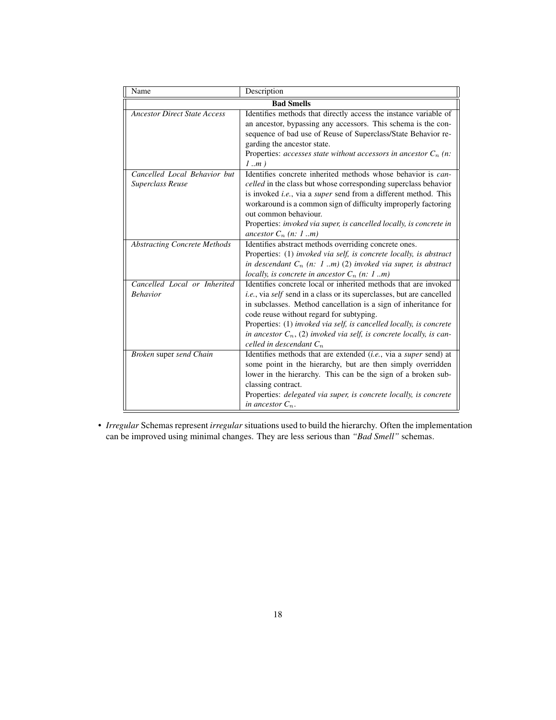| Name                                | Description                                                                      |  |  |  |
|-------------------------------------|----------------------------------------------------------------------------------|--|--|--|
| <b>Bad Smells</b>                   |                                                                                  |  |  |  |
| <b>Ancestor Direct State Access</b> | Identifies methods that directly access the instance variable of                 |  |  |  |
|                                     | an ancestor, bypassing any accessors. This schema is the con-                    |  |  |  |
|                                     | sequence of bad use of Reuse of Superclass/State Behavior re-                    |  |  |  |
|                                     | garding the ancestor state.                                                      |  |  |  |
|                                     | Properties: accesses state without accessors in ancestor $C_n$ (n:               |  |  |  |
|                                     | $1 \ldots m$ )                                                                   |  |  |  |
| Cancelled Local Behavior but        | Identifies concrete inherited methods whose behavior is can-                     |  |  |  |
| <b>Superclass Reuse</b>             | celled in the class but whose corresponding superclass behavior                  |  |  |  |
|                                     | is invoked <i>i.e.</i> , via a <i>super</i> send from a different method. This   |  |  |  |
|                                     | workaround is a common sign of difficulty improperly factoring                   |  |  |  |
|                                     | out common behaviour.                                                            |  |  |  |
|                                     | Properties: invoked via super, is cancelled locally, is concrete in              |  |  |  |
|                                     | ancestor $C_n$ (n: 1.m)                                                          |  |  |  |
| <b>Abstracting Concrete Methods</b> | Identifies abstract methods overriding concrete ones.                            |  |  |  |
|                                     | Properties: (1) invoked via self, is concrete locally, is abstract               |  |  |  |
|                                     | in descendant $C_n$ (n: 1 m) (2) invoked via super, is abstract                  |  |  |  |
|                                     | locally, is concrete in ancestor $C_n$ (n: 1 .m)                                 |  |  |  |
| Cancelled Local or Inherited        | Identifies concrete local or inherited methods that are invoked                  |  |  |  |
| <b>Behavior</b>                     | i.e., via self send in a class or its superclasses, but are cancelled            |  |  |  |
|                                     | in subclasses. Method cancellation is a sign of inheritance for                  |  |  |  |
|                                     | code reuse without regard for subtyping.                                         |  |  |  |
|                                     | Properties: (1) invoked via self, is cancelled locally, is concrete              |  |  |  |
|                                     | in ancestor $C_n$ , (2) invoked via self, is concrete locally, is can-           |  |  |  |
|                                     | celled in descendant $C_n$                                                       |  |  |  |
| Broken super send Chain             | Identifies methods that are extended ( <i>i.e.</i> , via a <i>super</i> send) at |  |  |  |
|                                     | some point in the hierarchy, but are then simply overridden                      |  |  |  |
|                                     | lower in the hierarchy. This can be the sign of a broken sub-                    |  |  |  |
|                                     | classing contract.                                                               |  |  |  |
|                                     | Properties: delegated via super, is concrete locally, is concrete                |  |  |  |
|                                     | in ancestor $C_n$ .                                                              |  |  |  |

• *Irregular* Schemas represent *irregular* situations used to build the hierarchy. Often the implementation can be improved using minimal changes. They are less serious than *"Bad Smell"* schemas.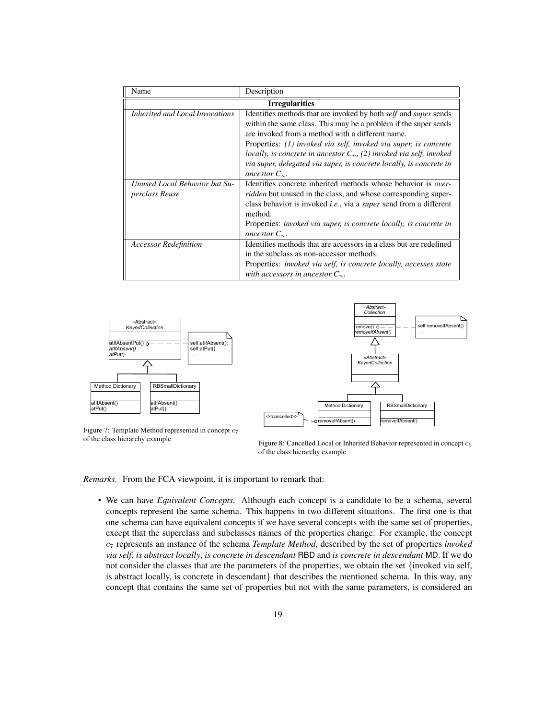| Name                                            | Description                                                                                                                                                                                                                                                                                                                                                                                                                                      |  |  |
|-------------------------------------------------|--------------------------------------------------------------------------------------------------------------------------------------------------------------------------------------------------------------------------------------------------------------------------------------------------------------------------------------------------------------------------------------------------------------------------------------------------|--|--|
| <b>Irregularities</b>                           |                                                                                                                                                                                                                                                                                                                                                                                                                                                  |  |  |
| Inherited and Local Invocations                 | Identifies methods that are invoked by both <i>self</i> and <i>super</i> sends<br>within the same class. This may be a problem if the super sends<br>are invoked from a method with a different name.<br>Properties: $(1)$ invoked via self, invoked via super, is concrete<br>locally, is concrete in ancestor $C_n$ , (2) invoked via self, invoked<br>via super, delegated via super, is concrete locally, is concrete in<br>ancestor $C_n$ . |  |  |
| Unused Local Behavior but Su-<br>perclass Reuse | Identifies concrete inherited methods whose behavior is <i>over</i> -<br><i>ridden</i> but unused in the class, and whose corresponding super-<br>class behavior is invoked <i>i.e.</i> , via a <i>super</i> send from a different<br>method.<br>Properties: <i>invoked via super, is concrete locally, is concrete in</i><br>ancestor $C_n$ .                                                                                                   |  |  |
| <b>Accessor Redefinition</b>                    | Identifies methods that are accessors in a class but are redefined<br>in the subclass as non-accessor methods.<br>Properties: <i>invoked via self, is concrete locally, accesses state</i><br>with accessors in ancestor $C_n$ .                                                                                                                                                                                                                 |  |  |





<span id="page-19-0"></span>Figure 7: Template Method represented in concept  $c_7$ of the class hierarchy example

<span id="page-19-1"></span>Figure 8: Cancelled Local or Inherited Behavior represented in concept  $c_6$ of the class hierarchy example

*Remarks.* From the FCA viewpoint, it is important to remark that:

• We can have *Equivalent Concepts.* Although each concept is a candidate to be a schema, several concepts represent the same schema. This happens in two different situations. The first one is that one schema can have equivalent concepts if we have several concepts with the same set of properties, except that the superclass and subclasses names of the properties change. For example, the concept c<sup>7</sup> represents an instance of the schema *Template Method*, described by the set of properties *invoked via self*, *is abstract locally*, *is concrete in descendant* RBD and *is concrete in descendant* MD. If we do not consider the classes that are the parameters of the properties, we obtain the set {invoked via self, is abstract locally, is concrete in descendant} that describes the mentioned schema. In this way, any concept that contains the same set of properties but not with the same parameters, is considered an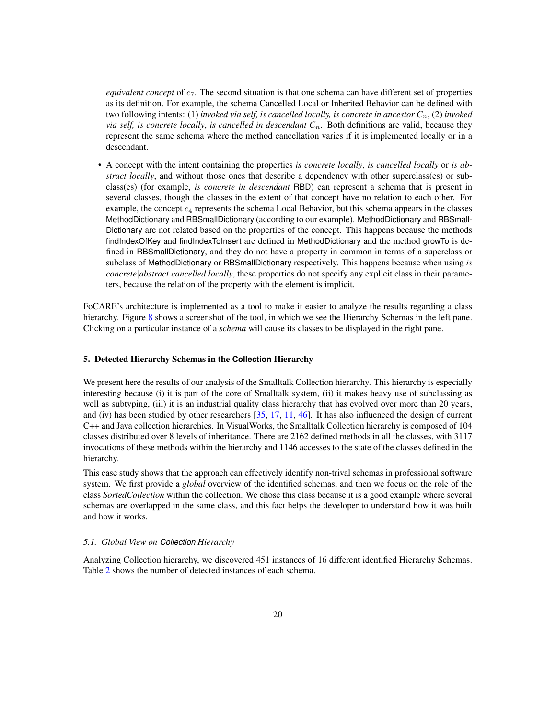*equivalent concept* of  $c_7$ . The second situation is that one schema can have different set of properties as its definition. For example, the schema Cancelled Local or Inherited Behavior can be defined with two following intents: (1) *invoked via self, is cancelled locally, is concrete in ancestor*  $C_n$ , (2) *invoked via self, is concrete locally, is cancelled in descendant*  $C_n$ . Both definitions are valid, because they represent the same schema where the method cancellation varies if it is implemented locally or in a descendant.

• A concept with the intent containing the properties *is concrete locally*, *is cancelled locally* or *is abstract locally*, and without those ones that describe a dependency with other superclass(es) or subclass(es) (for example, *is concrete in descendant* RBD) can represent a schema that is present in several classes, though the classes in the extent of that concept have no relation to each other. For example, the concept  $c_4$  represents the schema Local Behavior, but this schema appears in the classes MethodDictionary and RBSmallDictionary (according to our example). MethodDictionary and RBSmall-Dictionary are not related based on the properties of the concept. This happens because the methods findIndexOfKey and findIndexToInsert are defined in MethodDictionary and the method growTo is defined in RBSmallDictionary, and they do not have a property in common in terms of a superclass or subclass of MethodDictionary or RBSmallDictionary respectively. This happens because when using *is concrete*|*abstract*|*cancelled locally*, these properties do not specify any explicit class in their parameters, because the relation of the property with the element is implicit.

FoCARE's architecture is implemented as a tool to make it easier to analyze the results regarding a class hierarchy. Figure [8](#page-19-1) shows a screenshot of the tool, in which we see the Hierarchy Schemas in the left pane. Clicking on a particular instance of a *schema* will cause its classes to be displayed in the right pane.

#### <span id="page-20-0"></span>5. Detected Hierarchy Schemas in the **Collection** Hierarchy

We present here the results of our analysis of the Smalltalk Collection hierarchy. This hierarchy is especially interesting because (i) it is part of the core of Smalltalk system, (ii) it makes heavy use of subclassing as well as subtyping, (iii) it is an industrial quality class hierarchy that has evolved over more than 20 years, and (iv) has been studied by other researchers [\[35,](#page-37-2) [17,](#page-36-3) [11,](#page-36-2) [46\]](#page-38-0). It has also influenced the design of current C++ and Java collection hierarchies. In VisualWorks, the Smalltalk Collection hierarchy is composed of 104 classes distributed over 8 levels of inheritance. There are 2162 defined methods in all the classes, with 3117 invocations of these methods within the hierarchy and 1146 accesses to the state of the classes defined in the hierarchy.

This case study shows that the approach can effectively identify non-trival schemas in professional software system. We first provide a *global* overview of the identified schemas, and then we focus on the role of the class *SortedCollection* within the collection. We chose this class because it is a good example where several schemas are overlapped in the same class, and this fact helps the developer to understand how it was built and how it works.

#### *5.1. Global View on Collection Hierarchy*

Analyzing Collection hierarchy, we discovered 451 instances of 16 different identified Hierarchy Schemas. Table [2](#page-14-1) shows the number of detected instances of each schema.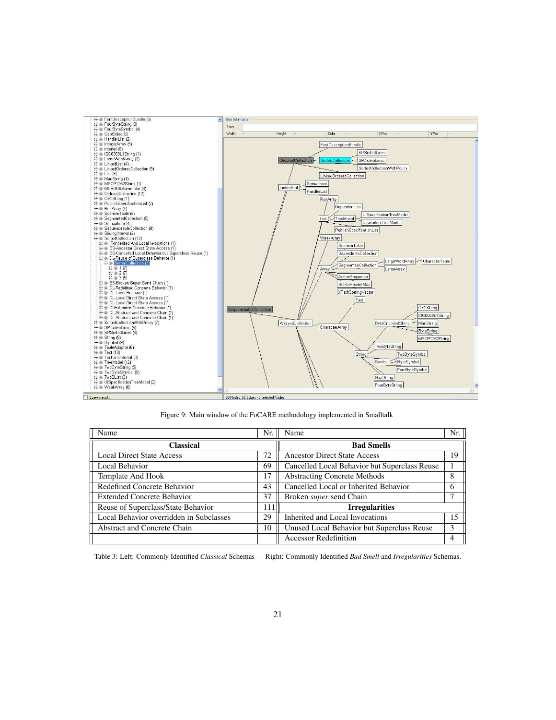

<span id="page-21-0"></span>

| Name                                    | Nr. | Name                                          | Nr.            |  |  |
|-----------------------------------------|-----|-----------------------------------------------|----------------|--|--|
| <b>Classical</b>                        |     | <b>Bad Smells</b>                             |                |  |  |
| <b>Local Direct State Access</b>        | 72  | <b>Ancestor Direct State Access</b>           | 19             |  |  |
| Local Behavior                          | 69  | Cancelled Local Behavior but Superclass Reuse |                |  |  |
| Template And Hook                       | 17  | <b>Abstracting Concrete Methods</b>           | 8              |  |  |
| Redefined Concrete Behavior             | 43  | Cancelled Local or Inherited Behavior         | 6              |  |  |
| <b>Extended Concrete Behavior</b>       | 37  | Broken <i>super</i> send Chain                | 7              |  |  |
| Reuse of Superclass/State Behavior      | 111 | <b>Irregularities</b>                         |                |  |  |
| Local Behavior overridden in Subclasses | 29  | Inherited and Local Invocations               | 15             |  |  |
| <b>Abstract and Concrete Chain</b>      | 10  | Unused Local Behavior but Superclass Reuse    | 3              |  |  |
|                                         |     | <b>Accessor Redefinition</b>                  | $\overline{4}$ |  |  |

<span id="page-21-1"></span>Table 3: Left: Commonly Identified *Classical* Schemas — Right: Commonly Identified *Bad Smell* and *Irregularities* Schemas.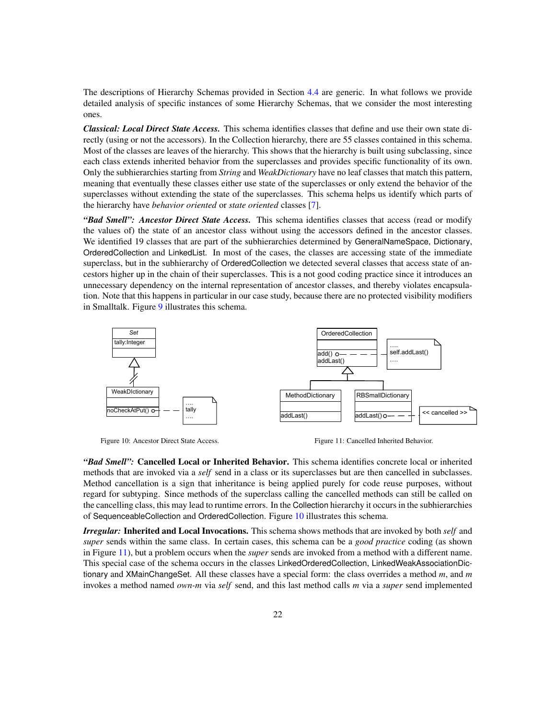The descriptions of Hierarchy Schemas provided in Section [4.4](#page-16-0) are generic. In what follows we provide detailed analysis of specific instances of some Hierarchy Schemas, that we consider the most interesting ones.

*Classical: Local Direct State Access.* This schema identifies classes that define and use their own state directly (using or not the accessors). In the Collection hierarchy, there are 55 classes contained in this schema. Most of the classes are leaves of the hierarchy. This shows that the hierarchy is built using subclassing, since each class extends inherited behavior from the superclasses and provides specific functionality of its own. Only the subhierarchies starting from *String* and *WeakDictionary* have no leaf classes that match this pattern, meaning that eventually these classes either use state of the superclasses or only extend the behavior of the superclasses without extending the state of the superclasses. This schema helps us identify which parts of the hierarchy have *behavior oriented* or *state oriented* classes [\[7\]](#page-35-4).

"Bad Smell": Ancestor Direct State Access. This schema identifies classes that access (read or modify the values of) the state of an ancestor class without using the accessors defined in the ancestor classes. We identified 19 classes that are part of the subhierarchies determined by GeneralNameSpace, Dictionary, OrderedCollection and LinkedList. In most of the cases, the classes are accessing state of the immediate superclass, but in the subhierarchy of OrderedCollection we detected several classes that access state of ancestors higher up in the chain of their superclasses. This is a not good coding practice since it introduces an unnecessary dependency on the internal representation of ancestor classes, and thereby violates encapsulation. Note that this happens in particular in our case study, because there are no protected visibility modifiers in Smalltalk. Figure [9](#page-21-0) illustrates this schema.



<span id="page-22-0"></span>Figure 10: Ancestor Direct State Access.

<span id="page-22-1"></span>Figure 11: Cancelled Inherited Behavior.

*"Bad Smell":* Cancelled Local or Inherited Behavior. This schema identifies concrete local or inherited methods that are invoked via a *self* send in a class or its superclasses but are then cancelled in subclasses. Method cancellation is a sign that inheritance is being applied purely for code reuse purposes, without regard for subtyping. Since methods of the superclass calling the cancelled methods can still be called on the cancelling class, this may lead to runtime errors. In the Collection hierarchy it occurs in the subhierarchies of SequenceableCollection and OrderedCollection. Figure [10](#page-22-0) illustrates this schema.

*Irregular:* Inherited and Local Invocations. This schema shows methods that are invoked by both *self* and *super* sends within the same class. In certain cases, this schema can be a *good practice* coding (as shown in Figure [11\)](#page-22-1), but a problem occurs when the *super* sends are invoked from a method with a different name. This special case of the schema occurs in the classes LinkedOrderedCollection, LinkedWeakAssociationDictionary and XMainChangeSet. All these classes have a special form: the class overrides a method *m*, and *m* invokes a method named *own-m* via *self* send, and this last method calls *m* via a *super* send implemented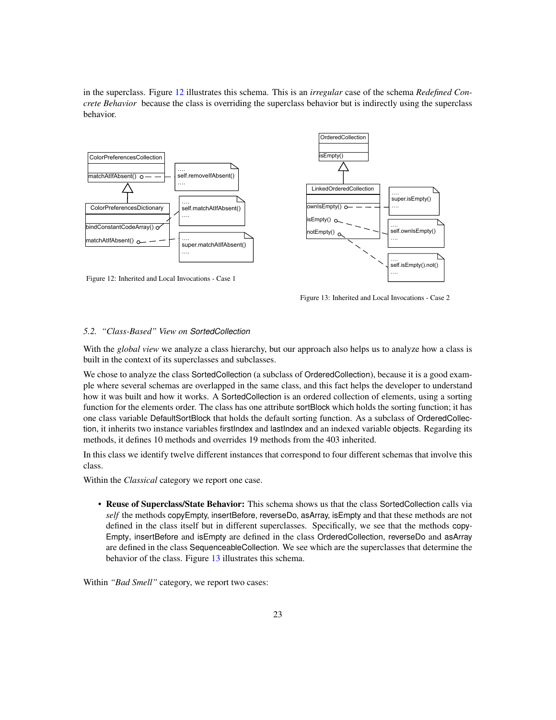in the superclass. Figure [12](#page-23-0) illustrates this schema. This is an *irregular* case of the schema *Redefined Concrete Behavior* because the class is overriding the superclass behavior but is indirectly using the superclass behavior.



<span id="page-23-0"></span>Figure 12: Inherited and Local Invocations - Case 1

<span id="page-23-1"></span>Figure 13: Inherited and Local Invocations - Case 2

# *5.2. "Class-Based" View on SortedCollection*

With the *global view* we analyze a class hierarchy, but our approach also helps us to analyze how a class is built in the context of its superclasses and subclasses.

We chose to analyze the class SortedCollection (a subclass of OrderedCollection), because it is a good example where several schemas are overlapped in the same class, and this fact helps the developer to understand how it was built and how it works. A SortedCollection is an ordered collection of elements, using a sorting function for the elements order. The class has one attribute sortBlock which holds the sorting function; it has one class variable DefaultSortBlock that holds the default sorting function. As a subclass of OrderedCollection, it inherits two instance variables firstIndex and lastIndex and an indexed variable objects. Regarding its methods, it defines 10 methods and overrides 19 methods from the 403 inherited.

In this class we identify twelve different instances that correspond to four different schemas that involve this class.

Within the *Classical* category we report one case.

• Reuse of Superclass/State Behavior: This schema shows us that the class SortedCollection calls via *self* the methods copyEmpty, insertBefore, reverseDo, asArray, isEmpty and that these methods are not defined in the class itself but in different superclasses. Specifically, we see that the methods copy-Empty, insertBefore and isEmpty are defined in the class OrderedCollection, reverseDo and asArray are defined in the class SequenceableCollection. We see which are the superclasses that determine the behavior of the class. Figure [13](#page-23-1) illustrates this schema.

Within *"Bad Smell"* category, we report two cases: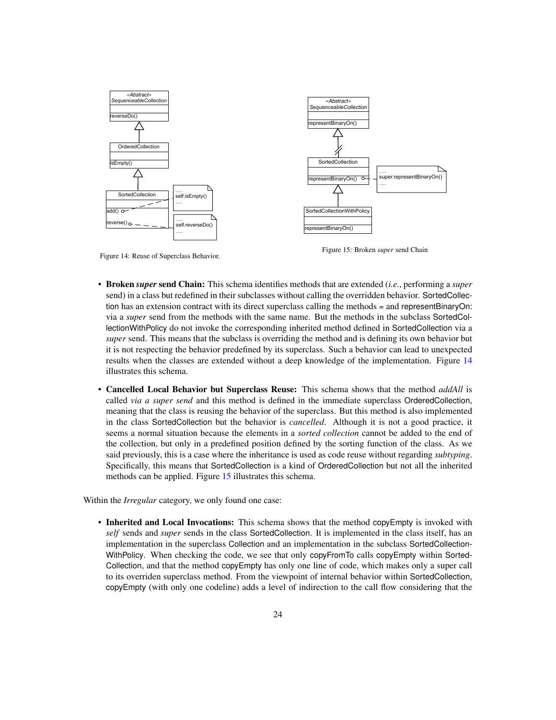

<span id="page-24-0"></span>Figure 14: Reuse of Superclass Behavior.

<span id="page-24-1"></span>Figure 15: Broken *super* send Chain

- Broken *super* send Chain: This schema identifies methods that are extended (*i.e.*, performing a *super* send) in a class but redefined in their subclasses without calling the overridden behavior. SortedCollection has an extension contract with its direct superclass calling the methods = and representBinaryOn: via a *super* send from the methods with the same name. But the methods in the subclass SortedCollectionWithPolicy do not invoke the corresponding inherited method defined in SortedCollection via a *super* send. This means that the subclass is overriding the method and is defining its own behavior but it is not respecting the behavior predefined by its superclass. Such a behavior can lead to unexpected results when the classes are extended without a deep knowledge of the implementation. Figure [14](#page-24-0) illustrates this schema.
- Cancelled Local Behavior but Superclass Reuse: This schema shows that the method *addAll* is called *via a super send* and this method is defined in the immediate superclass OrderedCollection, meaning that the class is reusing the behavior of the superclass. But this method is also implemented in the class SortedCollection but the behavior is *cancelled*. Although it is not a good practice, it seems a normal situation because the elements in a *sorted collection* cannot be added to the end of the collection, but only in a predefined position defined by the sorting function of the class. As we said previously, this is a case where the inheritance is used as code reuse without regarding *subtyping*. Specifically, this means that SortedCollection is a kind of OrderedCollection but not all the inherited methods can be applied. Figure [15](#page-24-1) illustrates this schema.

Within the *Irregular* category, we only found one case:

• Inherited and Local Invocations: This schema shows that the method copy Empty is invoked with *self* sends and *super* sends in the class SortedCollection. It is implemented in the class itself, has an implementation in the superclass Collection and an implementation in the subclass SortedCollection-WithPolicy. When checking the code, we see that only copyFromTo calls copyEmpty within Sorted-Collection, and that the method copyEmpty has only one line of code, which makes only a super call to its overriden superclass method. From the viewpoint of internal behavior within SortedCollection, copyEmpty (with only one codeline) adds a level of indirection to the call flow considering that the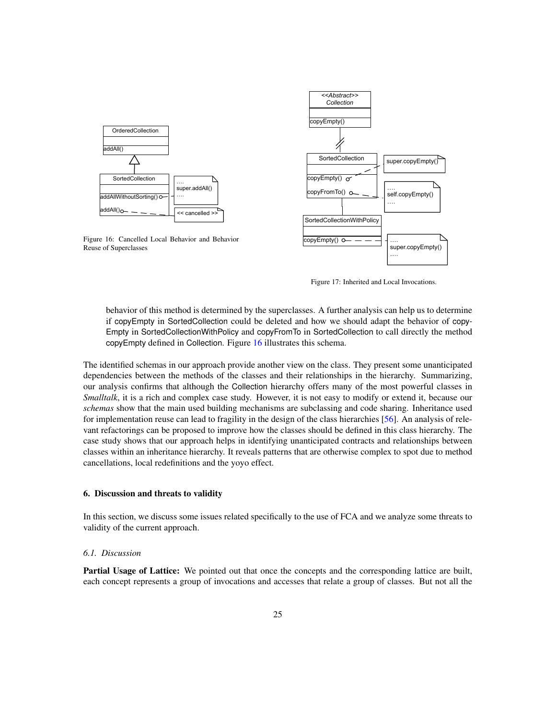

<span id="page-25-1"></span>Figure 16: Cancelled Local Behavior and Behavior Reuse of Superclasses



Figure 17: Inherited and Local Invocations.

behavior of this method is determined by the superclasses. A further analysis can help us to determine if copyEmpty in SortedCollection could be deleted and how we should adapt the behavior of copy-Empty in SortedCollectionWithPolicy and copyFromTo in SortedCollection to call directly the method copyEmpty defined in Collection. Figure [16](#page-25-1) illustrates this schema.

The identified schemas in our approach provide another view on the class. They present some unanticipated dependencies between the methods of the classes and their relationships in the hierarchy. Summarizing, our analysis confirms that although the Collection hierarchy offers many of the most powerful classes in *Smalltalk*, it is a rich and complex case study. However, it is not easy to modify or extend it, because our *schemas* show that the main used building mechanisms are subclassing and code sharing. Inheritance used for implementation reuse can lead to fragility in the design of the class hierarchies [\[56\]](#page-39-2). An analysis of relevant refactorings can be proposed to improve how the classes should be defined in this class hierarchy. The case study shows that our approach helps in identifying unanticipated contracts and relationships between classes within an inheritance hierarchy. It reveals patterns that are otherwise complex to spot due to method cancellations, local redefinitions and the yoyo effect.

#### <span id="page-25-0"></span>6. Discussion and threats to validity

In this section, we discuss some issues related specifically to the use of FCA and we analyze some threats to validity of the current approach.

#### *6.1. Discussion*

Partial Usage of Lattice: We pointed out that once the concepts and the corresponding lattice are built, each concept represents a group of invocations and accesses that relate a group of classes. But not all the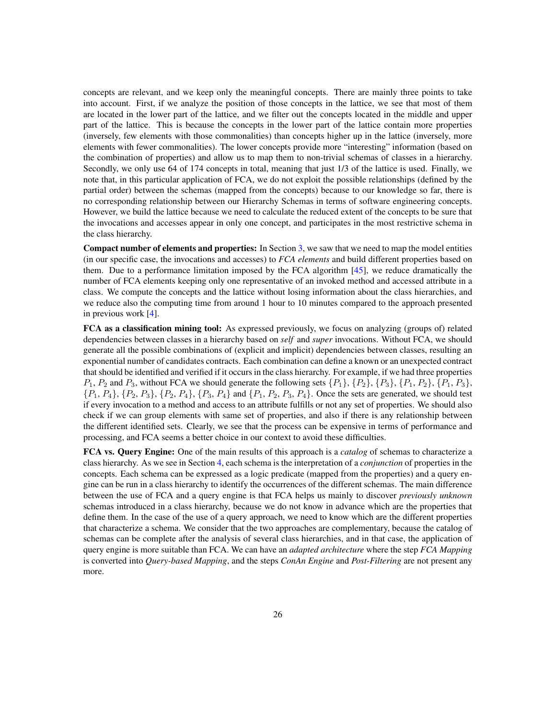concepts are relevant, and we keep only the meaningful concepts. There are mainly three points to take into account. First, if we analyze the position of those concepts in the lattice, we see that most of them are located in the lower part of the lattice, and we filter out the concepts located in the middle and upper part of the lattice. This is because the concepts in the lower part of the lattice contain more properties (inversely, few elements with those commonalities) than concepts higher up in the lattice (inversely, more elements with fewer commonalities). The lower concepts provide more "interesting" information (based on the combination of properties) and allow us to map them to non-trivial schemas of classes in a hierarchy. Secondly, we only use 64 of 174 concepts in total, meaning that just 1/3 of the lattice is used. Finally, we note that, in this particular application of FCA, we do not exploit the possible relationships (defined by the partial order) between the schemas (mapped from the concepts) because to our knowledge so far, there is no corresponding relationship between our Hierarchy Schemas in terms of software engineering concepts. However, we build the lattice because we need to calculate the reduced extent of the concepts to be sure that the invocations and accesses appear in only one concept, and participates in the most restrictive schema in the class hierarchy.

Compact number of elements and properties: In Section [3,](#page-7-0) we saw that we need to map the model entities (in our specific case, the invocations and accesses) to *FCA elements* and build different properties based on them. Due to a performance limitation imposed by the FCA algorithm [\[45\]](#page-38-3), we reduce dramatically the number of FCA elements keeping only one representative of an invoked method and accessed attribute in a class. We compute the concepts and the lattice without losing information about the class hierarchies, and we reduce also the computing time from around 1 hour to 10 minutes compared to the approach presented in previous work [\[4\]](#page-35-1).

FCA as a classification mining tool: As expressed previously, we focus on analyzing (groups of) related dependencies between classes in a hierarchy based on *self* and *super* invocations. Without FCA, we should generate all the possible combinations of (explicit and implicit) dependencies between classes, resulting an exponential number of candidates contracts. Each combination can define a known or an unexpected contract that should be identified and verified if it occurs in the class hierarchy. For example, if we had three properties  $P_1, P_2$  and  $P_3$ , without FCA we should generate the following sets  $\{P_1\}, \{P_2\}, \{P_3\}, \{P_1, P_2\}, \{P_1, P_3\}$ ,  ${P_1, P_4}, {P_2, P_3}, {P_2, P_4}, {P_3, P_4}$  and  ${P_1, P_2, P_3, P_4}$ . Once the sets are generated, we should test if every invocation to a method and access to an attribute fulfills or not any set of properties. We should also check if we can group elements with same set of properties, and also if there is any relationship between the different identified sets. Clearly, we see that the process can be expensive in terms of performance and processing, and FCA seems a better choice in our context to avoid these difficulties.

FCA vs. Query Engine: One of the main results of this approach is a *catalog* of schemas to characterize a class hierarchy. As we see in Section [4,](#page-9-0) each schema is the interpretation of a *conjunction* of properties in the concepts. Each schema can be expressed as a logic predicate (mapped from the properties) and a query engine can be run in a class hierarchy to identify the occurrences of the different schemas. The main difference between the use of FCA and a query engine is that FCA helps us mainly to discover *previously unknown* schemas introduced in a class hierarchy, because we do not know in advance which are the properties that define them. In the case of the use of a query approach, we need to know which are the different properties that characterize a schema. We consider that the two approaches are complementary, because the catalog of schemas can be complete after the analysis of several class hierarchies, and in that case, the application of query engine is more suitable than FCA. We can have an *adapted architecture* where the step *FCA Mapping* is converted into *Query-based Mapping*, and the steps *ConAn Engine* and *Post-Filtering* are not present any more.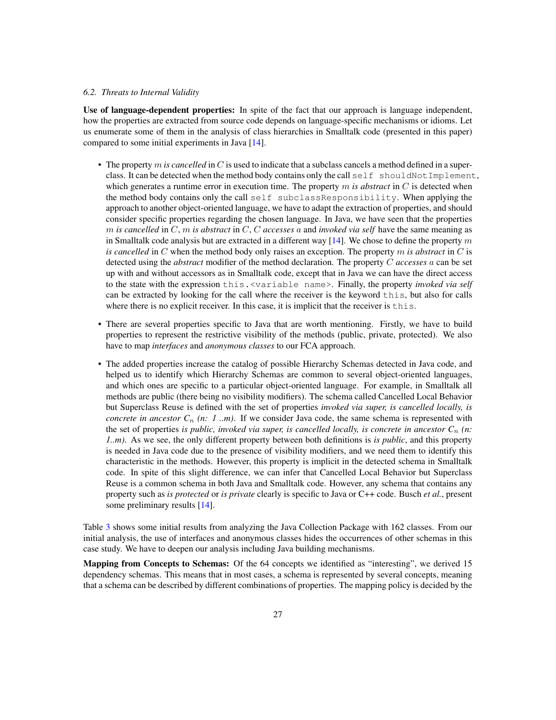#### *6.2. Threats to Internal Validity*

Use of language-dependent properties: In spite of the fact that our approach is language independent, how the properties are extracted from source code depends on language-specific mechanisms or idioms. Let us enumerate some of them in the analysis of class hierarchies in Smalltalk code (presented in this paper) compared to some initial experiments in Java [\[14\]](#page-36-5).

- The property m *is cancelled* in C is used to indicate that a subclass cancels a method defined in a superclass. It can be detected when the method body contains only the call self shouldNotImplement, which generates a runtime error in execution time. The property m *is abstract* in C is detected when the method body contains only the call self subclassResponsibility. When applying the approach to another object-oriented language, we have to adapt the extraction of properties, and should consider specific properties regarding the chosen language. In Java, we have seen that the properties m *is cancelled* in C, m *is abstract* in C, C *accesses* a and *invoked via self* have the same meaning as in Smalltalk code analysis but are extracted in a different way  $[14]$ . We chose to define the property m *is cancelled* in C when the method body only raises an exception. The property m *is abstract* in C is detected using the *abstract* modifier of the method declaration. The property C *accesses* a can be set up with and without accessors as in Smalltalk code, except that in Java we can have the direct access to the state with the expression this.<variable name>. Finally, the property *invoked via self* can be extracted by looking for the call where the receiver is the keyword this, but also for calls where there is no explicit receiver. In this case, it is implicit that the receiver is this.
- There are several properties specific to Java that are worth mentioning. Firstly, we have to build properties to represent the restrictive visibility of the methods (public, private, protected). We also have to map *interfaces* and *anonymous classes* to our FCA approach.
- The added properties increase the catalog of possible Hierarchy Schemas detected in Java code, and helped us to identify which Hierarchy Schemas are common to several object-oriented languages, and which ones are specific to a particular object-oriented language. For example, in Smalltalk all methods are public (there being no visibility modifiers). The schema called Cancelled Local Behavior but Superclass Reuse is defined with the set of properties *invoked via super, is cancelled locally, is concrete in ancestor*  $C_n$  *(n: 1 ..m)*. If we consider Java code, the same schema is represented with the set of properties *is public, invoked via super, is cancelled locally, is concrete in ancestor*  $C_n$  *(n: 1..m)*. As we see, the only different property between both definitions is *is public*, and this property is needed in Java code due to the presence of visibility modifiers, and we need them to identify this characteristic in the methods. However, this property is implicit in the detected schema in Smalltalk code. In spite of this slight difference, we can infer that Cancelled Local Behavior but Superclass Reuse is a common schema in both Java and Smalltalk code. However, any schema that contains any property such as *is protected* or *is private* clearly is specific to Java or C++ code. Busch *et al.*, present some preliminary results [\[14\]](#page-36-5).

Table [3](#page-21-1) shows some initial results from analyzing the Java Collection Package with 162 classes. From our initial analysis, the use of interfaces and anonymous classes hides the occurrences of other schemas in this case study. We have to deepen our analysis including Java building mechanisms.

Mapping from Concepts to Schemas: Of the 64 concepts we identified as "interesting", we derived 15 dependency schemas. This means that in most cases, a schema is represented by several concepts, meaning that a schema can be described by different combinations of properties. The mapping policy is decided by the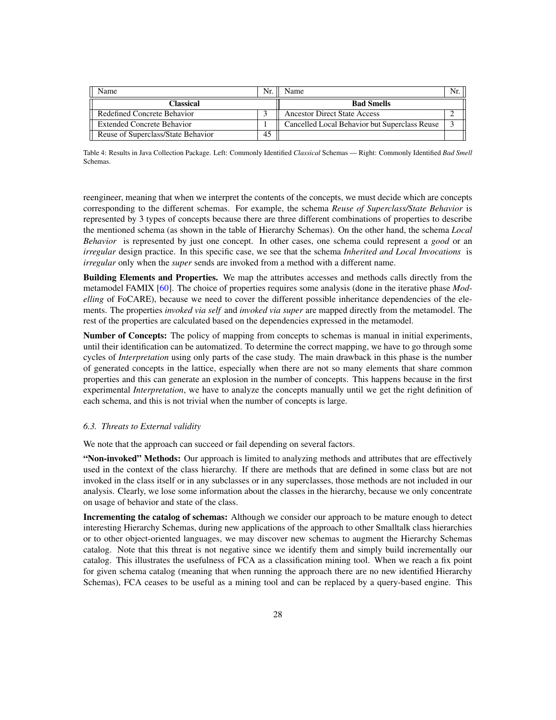| Name                               | Nr. | <b>Name</b>                                   | Nr |
|------------------------------------|-----|-----------------------------------------------|----|
| Classical                          |     | <b>Bad Smells</b>                             |    |
| Redefined Concrete Behavior        |     | <b>Ancestor Direct State Access</b>           |    |
| Extended Concrete Behavior         |     | Cancelled Local Behavior but Superclass Reuse |    |
| Reuse of Superclass/State Behavior | 45  |                                               |    |

Table 4: Results in Java Collection Package. Left: Commonly Identified *Classical* Schemas — Right: Commonly Identified *Bad Smell* Schemas.

reengineer, meaning that when we interpret the contents of the concepts, we must decide which are concepts corresponding to the different schemas. For example, the schema *Reuse of Superclass/State Behavior* is represented by 3 types of concepts because there are three different combinations of properties to describe the mentioned schema (as shown in the table of Hierarchy Schemas). On the other hand, the schema *Local Behavior* is represented by just one concept. In other cases, one schema could represent a *good* or an *irregular* design practice. In this specific case, we see that the schema *Inherited and Local Invocations* is *irregular* only when the *super* sends are invoked from a method with a different name.

Building Elements and Properties. We map the attributes accesses and methods calls directly from the metamodel FAMIX [\[60\]](#page-39-3). The choice of properties requires some analysis (done in the iterative phase *Modelling* of FoCARE), because we need to cover the different possible inheritance dependencies of the elements. The properties *invoked via self* and *invoked via super* are mapped directly from the metamodel. The rest of the properties are calculated based on the dependencies expressed in the metamodel.

Number of Concepts: The policy of mapping from concepts to schemas is manual in initial experiments, until their identification can be automatized. To determine the correct mapping, we have to go through some cycles of *Interpretation* using only parts of the case study. The main drawback in this phase is the number of generated concepts in the lattice, especially when there are not so many elements that share common properties and this can generate an explosion in the number of concepts. This happens because in the first experimental *Interpretation*, we have to analyze the concepts manually until we get the right definition of each schema, and this is not trivial when the number of concepts is large.

#### *6.3. Threats to External validity*

We note that the approach can succeed or fail depending on several factors.

"Non-invoked" Methods: Our approach is limited to analyzing methods and attributes that are effectively used in the context of the class hierarchy. If there are methods that are defined in some class but are not invoked in the class itself or in any subclasses or in any superclasses, those methods are not included in our analysis. Clearly, we lose some information about the classes in the hierarchy, because we only concentrate on usage of behavior and state of the class.

Incrementing the catalog of schemas: Although we consider our approach to be mature enough to detect interesting Hierarchy Schemas, during new applications of the approach to other Smalltalk class hierarchies or to other object-oriented languages, we may discover new schemas to augment the Hierarchy Schemas catalog. Note that this threat is not negative since we identify them and simply build incrementally our catalog. This illustrates the usefulness of FCA as a classification mining tool. When we reach a fix point for given schema catalog (meaning that when running the approach there are no new identified Hierarchy Schemas), FCA ceases to be useful as a mining tool and can be replaced by a query-based engine. This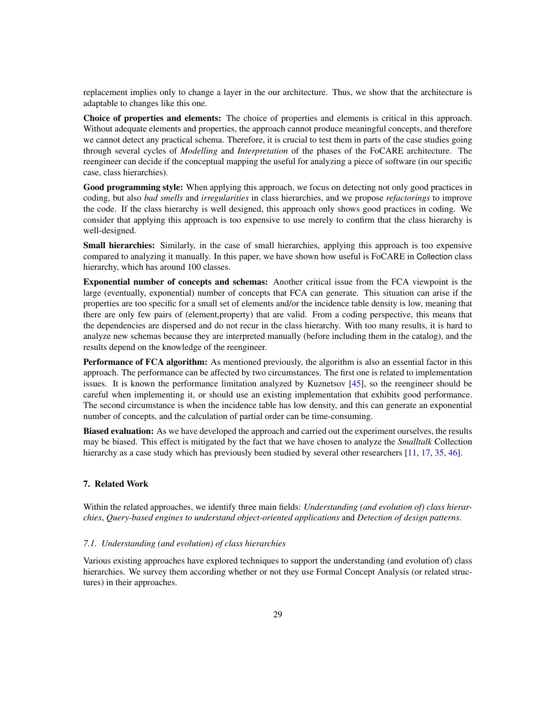replacement implies only to change a layer in the our architecture. Thus, we show that the architecture is adaptable to changes like this one.

Choice of properties and elements: The choice of properties and elements is critical in this approach. Without adequate elements and properties, the approach cannot produce meaningful concepts, and therefore we cannot detect any practical schema. Therefore, it is crucial to test them in parts of the case studies going through several cycles of *Modelling* and *Interpretation* of the phases of the FoCARE architecture. The reengineer can decide if the conceptual mapping the useful for analyzing a piece of software (in our specific case, class hierarchies).

Good programming style: When applying this approach, we focus on detecting not only good practices in coding, but also *bad smells* and *irregularities* in class hierarchies, and we propose *refactorings* to improve the code. If the class hierarchy is well designed, this approach only shows good practices in coding. We consider that applying this approach is too expensive to use merely to confirm that the class hierarchy is well-designed.

Small hierarchies: Similarly, in the case of small hierarchies, applying this approach is too expensive compared to analyzing it manually. In this paper, we have shown how useful is FoCARE in Collection class hierarchy, which has around 100 classes.

Exponential number of concepts and schemas: Another critical issue from the FCA viewpoint is the large (eventually, exponential) number of concepts that FCA can generate. This situation can arise if the properties are too specific for a small set of elements and/or the incidence table density is low, meaning that there are only few pairs of (element,property) that are valid. From a coding perspective, this means that the dependencies are dispersed and do not recur in the class hierarchy. With too many results, it is hard to analyze new schemas because they are interpreted manually (before including them in the catalog), and the results depend on the knowledge of the reengineer.

Performance of FCA algorithm: As mentioned previously, the algorithm is also an essential factor in this approach. The performance can be affected by two circumstances. The first one is related to implementation issues. It is known the performance limitation analyzed by Kuznetsov [\[45\]](#page-38-3), so the reengineer should be careful when implementing it, or should use an existing implementation that exhibits good performance. The second circumstance is when the incidence table has low density, and this can generate an exponential number of concepts, and the calculation of partial order can be time-consuming.

Biased evaluation: As we have developed the approach and carried out the experiment ourselves, the results may be biased. This effect is mitigated by the fact that we have chosen to analyze the *Smalltalk* Collection hierarchy as a case study which has previously been studied by several other researchers [\[11,](#page-36-2) [17,](#page-36-3) [35,](#page-37-2) [46\]](#page-38-0).

#### <span id="page-29-0"></span>7. Related Work

Within the related approaches, we identify three main fields: *Understanding (and evolution of) class hierarchies*, *Query-based engines to understand object-oriented applications* and *Detection of design patterns*.

#### *7.1. Understanding (and evolution) of class hierarchies*

Various existing approaches have explored techniques to support the understanding (and evolution of) class hierarchies. We survey them according whether or not they use Formal Concept Analysis (or related structures) in their approaches.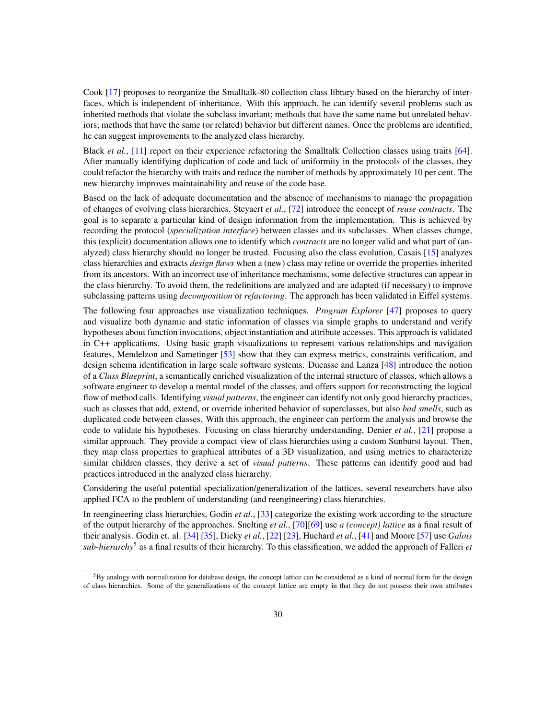Cook [\[17\]](#page-36-3) proposes to reorganize the Smalltalk-80 collection class library based on the hierarchy of interfaces, which is independent of inheritance. With this approach, he can identify several problems such as inherited methods that violate the subclass invariant; methods that have the same name but unrelated behaviors; methods that have the same (or related) behavior but different names. Once the problems are identified, he can suggest improvements to the analyzed class hierarchy.

Black *et al.*, [\[11\]](#page-36-2) report on their experience refactoring the Smalltalk Collection classes using traits [\[64\]](#page-39-4). After manually identifying duplication of code and lack of uniformity in the protocols of the classes, they could refactor the hierarchy with traits and reduce the number of methods by approximately 10 per cent. The new hierarchy improves maintainability and reuse of the code base.

Based on the lack of adequate documentation and the absence of mechanisms to manage the propagation of changes of evolving class hierarchies, Steyaert *et al.*, [\[72\]](#page-40-4) introduce the concept of *reuse contracts*. The goal is to separate a particular kind of design information from the implementation. This is achieved by recording the protocol (*specialization interface*) between classes and its subclasses. When classes change, this (explicit) documentation allows one to identify which *contracts* are no longer valid and what part of (analyzed) class hierarchy should no longer be trusted. Focusing also the class evolution, Casais [\[15\]](#page-36-6) analyzes class hierarchies and extracts *design flaws* when a (new) class may refine or override the properties inherited from its ancestors. With an incorrect use of inheritance mechanisms, some defective structures can appear in the class hierarchy. To avoid them, the redefinitions are analyzed and are adapted (if necessary) to improve subclassing patterns using *decomposition* or *refactoring*. The approach has been validated in Eiffel systems.

The following four approaches use visualization techniques. *Program Explorer* [\[47\]](#page-38-4) proposes to query and visualize both dynamic and static information of classes via simple graphs to understand and verify hypotheses about function invocations, object instantiation and attribute accesses. This approach is validated in C++ applications. Using basic graph visualizations to represent various relationships and navigation features, Mendelzon and Sametinger [\[53\]](#page-39-5) show that they can express metrics, constraints verification, and design schema identification in large scale software systems. Ducasse and Lanza [\[48\]](#page-38-5) introduce the notion of a *Class Blueprint*, a semantically enriched visualization of the internal structure of classes, which allows a software engineer to develop a mental model of the classes, and offers support for reconstructing the logical flow of method calls. Identifying *visual patterns*, the engineer can identify not only good hierarchy practices, such as classes that add, extend, or override inherited behavior of superclasses, but also *bad smells*, such as duplicated code between classes. With this approach, the engineer can perform the analysis and browse the code to validate his hypotheses. Focusing on class hierarchy understanding, Denier *et al.*, [\[21\]](#page-36-7) propose a similar approach. They provide a compact view of class hierarchies using a custom Sunburst layout. Then, they map class properties to graphical attributes of a 3D visualization, and using metrics to characterize similar children classes, they derive a set of *visual patterns*. These patterns can identify good and bad practices introduced in the analyzed class hierarchy.

Considering the useful potential specialization/generalization of the lattices, several researchers have also applied FCA to the problem of understanding (and reengineering) class hierarchies.

In reengineering class hierarchies, Godin *et al.*, [\[33\]](#page-37-8) categorize the existing work according to the structure of the output hierarchy of the approaches. Snelting *et al.*, [\[70\]](#page-40-7)[\[69\]](#page-40-8) use *a (concept) lattice* as a final result of their analysis. Godin et. al. [\[34\]](#page-37-9) [\[35\]](#page-37-2), Dicky *et al.*, [\[22\]](#page-36-8) [\[23\]](#page-36-9), Huchard *et al.*, [\[41\]](#page-38-6) and Moore [\[57\]](#page-39-6) use *Galois sub-hierarchy*<sup>5</sup> as a final results of their hierarchy. To this classification, we added the approach of Falleri *et*

 ${}^{5}$ By analogy with normalization for database design, the concept lattice can be considered as a kind of normal form for the design of class hierarchies. Some of the generalizations of the concept lattice are empty in that they do not possess their own attributes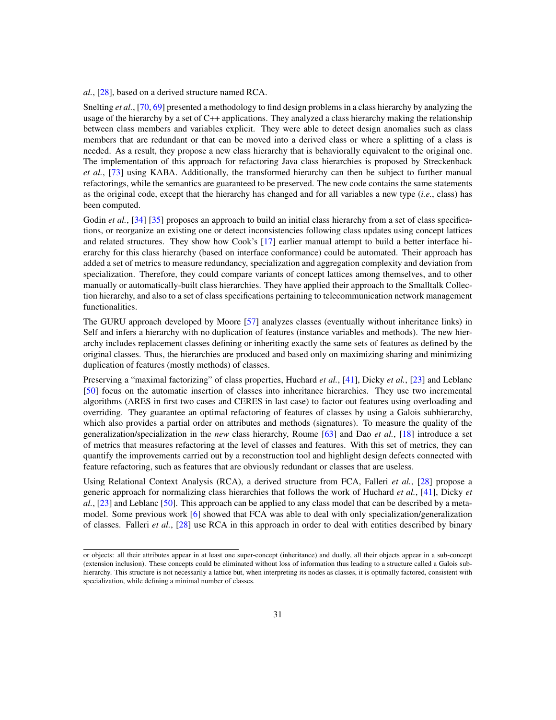#### *al.*, [\[28\]](#page-37-10), based on a derived structure named RCA.

Snelting *et al.*, [\[70,](#page-40-7) [69\]](#page-40-8) presented a methodology to find design problems in a class hierarchy by analyzing the usage of the hierarchy by a set of C++ applications. They analyzed a class hierarchy making the relationship between class members and variables explicit. They were able to detect design anomalies such as class members that are redundant or that can be moved into a derived class or where a splitting of a class is needed. As a result, they propose a new class hierarchy that is behaviorally equivalent to the original one. The implementation of this approach for refactoring Java class hierarchies is proposed by Streckenback *et al.*, [\[73\]](#page-40-9) using KABA. Additionally, the transformed hierarchy can then be subject to further manual refactorings, while the semantics are guaranteed to be preserved. The new code contains the same statements as the original code, except that the hierarchy has changed and for all variables a new type (*i.e.*, class) has been computed.

Godin *et al.*, [\[34\]](#page-37-9) [\[35\]](#page-37-2) proposes an approach to build an initial class hierarchy from a set of class specifications, or reorganize an existing one or detect inconsistencies following class updates using concept lattices and related structures. They show how Cook's [\[17\]](#page-36-3) earlier manual attempt to build a better interface hierarchy for this class hierarchy (based on interface conformance) could be automated. Their approach has added a set of metrics to measure redundancy, specialization and aggregation complexity and deviation from specialization. Therefore, they could compare variants of concept lattices among themselves, and to other manually or automatically-built class hierarchies. They have applied their approach to the Smalltalk Collection hierarchy, and also to a set of class specifications pertaining to telecommunication network management functionalities.

The GURU approach developed by Moore [\[57\]](#page-39-6) analyzes classes (eventually without inheritance links) in Self and infers a hierarchy with no duplication of features (instance variables and methods). The new hierarchy includes replacement classes defining or inheriting exactly the same sets of features as defined by the original classes. Thus, the hierarchies are produced and based only on maximizing sharing and minimizing duplication of features (mostly methods) of classes.

Preserving a "maximal factorizing" of class properties, Huchard *et al.*, [\[41\]](#page-38-6), Dicky *et al.*, [\[23\]](#page-36-9) and Leblanc [\[50\]](#page-38-7) focus on the automatic insertion of classes into inheritance hierarchies. They use two incremental algorithms (ARES in first two cases and CERES in last case) to factor out features using overloading and overriding. They guarantee an optimal refactoring of features of classes by using a Galois subhierarchy, which also provides a partial order on attributes and methods (signatures). To measure the quality of the generalization/specialization in the *new* class hierarchy, Roume [\[63\]](#page-39-7) and Dao *et al.*, [\[18\]](#page-36-10) introduce a set of metrics that measures refactoring at the level of classes and features. With this set of metrics, they can quantify the improvements carried out by a reconstruction tool and highlight design defects connected with feature refactoring, such as features that are obviously redundant or classes that are useless.

Using Relational Context Analysis (RCA), a derived structure from FCA, Falleri *et al.*, [\[28\]](#page-37-10) propose a generic approach for normalizing class hierarchies that follows the work of Huchard *et al.*, [\[41\]](#page-38-6), Dicky *et al.*, [\[23\]](#page-36-9) and Leblanc [\[50\]](#page-38-7). This approach can be applied to any class model that can be described by a metamodel. Some previous work [\[6\]](#page-35-5) showed that FCA was able to deal with only specialization/generalization of classes. Falleri *et al.*, [\[28\]](#page-37-10) use RCA in this approach in order to deal with entities described by binary

or objects: all their attributes appear in at least one super-concept (inheritance) and dually, all their objects appear in a sub-concept (extension inclusion). These concepts could be eliminated without loss of information thus leading to a structure called a Galois subhierarchy. This structure is not necessarily a lattice but, when interpreting its nodes as classes, it is optimally factored, consistent with specialization, while defining a minimal number of classes.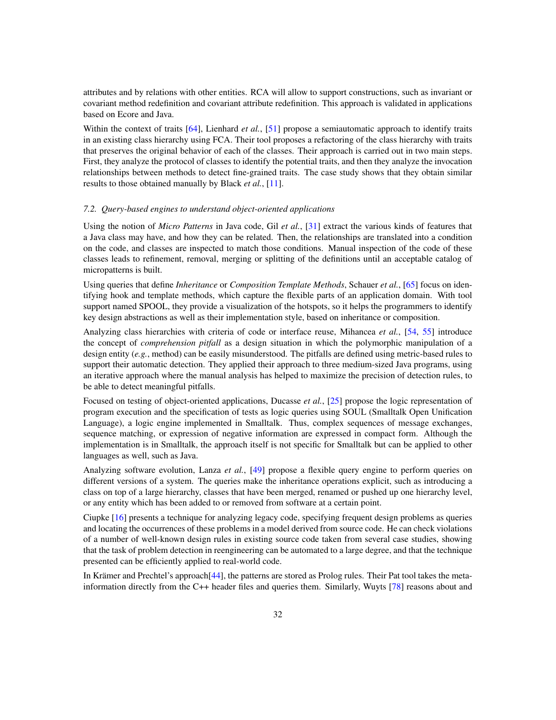attributes and by relations with other entities. RCA will allow to support constructions, such as invariant or covariant method redefinition and covariant attribute redefinition. This approach is validated in applications based on Ecore and Java.

Within the context of traits [\[64\]](#page-39-4), Lienhard *et al.*, [\[51\]](#page-38-8) propose a semiautomatic approach to identify traits in an existing class hierarchy using FCA. Their tool proposes a refactoring of the class hierarchy with traits that preserves the original behavior of each of the classes. Their approach is carried out in two main steps. First, they analyze the protocol of classes to identify the potential traits, and then they analyze the invocation relationships between methods to detect fine-grained traits. The case study shows that they obtain similar results to those obtained manually by Black *et al.*, [\[11\]](#page-36-2).

# *7.2. Query-based engines to understand object-oriented applications*

Using the notion of *Micro Patterns* in Java code, Gil *et al.*, [\[31\]](#page-37-11) extract the various kinds of features that a Java class may have, and how they can be related. Then, the relationships are translated into a condition on the code, and classes are inspected to match those conditions. Manual inspection of the code of these classes leads to refinement, removal, merging or splitting of the definitions until an acceptable catalog of micropatterns is built.

Using queries that define *Inheritance* or *Composition Template Methods*, Schauer *et al.*, [\[65\]](#page-39-0) focus on identifying hook and template methods, which capture the flexible parts of an application domain. With tool support named SPOOL, they provide a visualization of the hotspots, so it helps the programmers to identify key design abstractions as well as their implementation style, based on inheritance or composition.

Analyzing class hierarchies with criteria of code or interface reuse, Mihancea *et al.*, [\[54,](#page-39-8) [55\]](#page-39-9) introduce the concept of *comprehension pitfall* as a design situation in which the polymorphic manipulation of a design entity (*e.g.*, method) can be easily misunderstood. The pitfalls are defined using metric-based rules to support their automatic detection. They applied their approach to three medium-sized Java programs, using an iterative approach where the manual analysis has helped to maximize the precision of detection rules, to be able to detect meaningful pitfalls.

Focused on testing of object-oriented applications, Ducasse *et al.*, [\[25\]](#page-37-12) propose the logic representation of program execution and the specification of tests as logic queries using SOUL (Smalltalk Open Unification Language), a logic engine implemented in Smalltalk. Thus, complex sequences of message exchanges, sequence matching, or expression of negative information are expressed in compact form. Although the implementation is in Smalltalk, the approach itself is not specific for Smalltalk but can be applied to other languages as well, such as Java.

Analyzing software evolution, Lanza *et al.*, [\[49\]](#page-38-9) propose a flexible query engine to perform queries on different versions of a system. The queries make the inheritance operations explicit, such as introducing a class on top of a large hierarchy, classes that have been merged, renamed or pushed up one hierarchy level, or any entity which has been added to or removed from software at a certain point.

Ciupke [\[16\]](#page-36-11) presents a technique for analyzing legacy code, specifying frequent design problems as queries and locating the occurrences of these problems in a model derived from source code. He can check violations of a number of well-known design rules in existing source code taken from several case studies, showing that the task of problem detection in reengineering can be automated to a large degree, and that the technique presented can be efficiently applied to real-world code.

In Krämer and Prechtel's approach $[44]$  $[44]$ , the patterns are stored as Prolog rules. Their Pat tool takes the metainformation directly from the C++ header files and queries them. Similarly, Wuyts [\[78\]](#page-40-5) reasons about and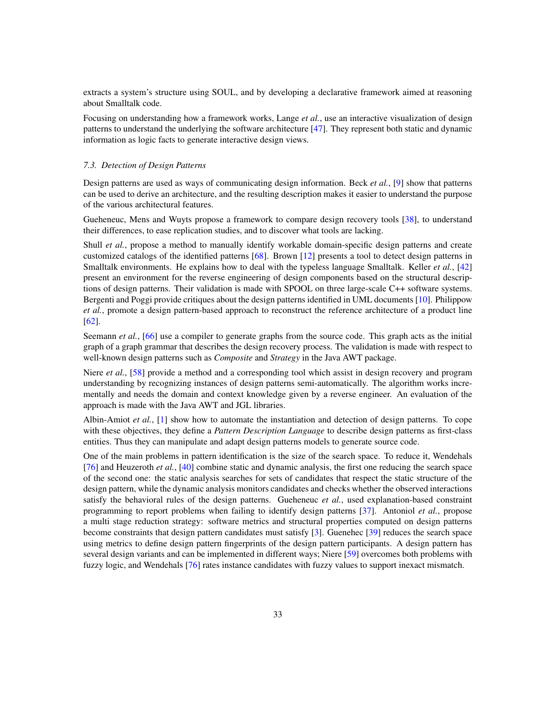extracts a system's structure using SOUL, and by developing a declarative framework aimed at reasoning about Smalltalk code.

Focusing on understanding how a framework works, Lange *et al.*, use an interactive visualization of design patterns to understand the underlying the software architecture [\[47\]](#page-38-4). They represent both static and dynamic information as logic facts to generate interactive design views.

#### *7.3. Detection of Design Patterns*

Design patterns are used as ways of communicating design information. Beck *et al.*, [\[9\]](#page-36-12) show that patterns can be used to derive an architecture, and the resulting description makes it easier to understand the purpose of the various architectural features.

Gueheneuc, Mens and Wuyts propose a framework to compare design recovery tools [\[38\]](#page-37-13), to understand their differences, to ease replication studies, and to discover what tools are lacking.

Shull *et al.*, propose a method to manually identify workable domain-specific design patterns and create customized catalogs of the identified patterns [\[68\]](#page-40-10). Brown [\[12\]](#page-36-13) presents a tool to detect design patterns in Smalltalk environments. He explains how to deal with the typeless language Smalltalk. Keller *et al.*, [\[42\]](#page-38-11) present an environment for the reverse engineering of design components based on the structural descriptions of design patterns. Their validation is made with SPOOL on three large-scale C++ software systems. Bergenti and Poggi provide critiques about the design patterns identified in UML documents [\[10\]](#page-36-14). Philippow *et al.*, promote a design pattern-based approach to reconstruct the reference architecture of a product line [\[62\]](#page-39-10).

Seemann *et al.*, [\[66\]](#page-39-11) use a compiler to generate graphs from the source code. This graph acts as the initial graph of a graph grammar that describes the design recovery process. The validation is made with respect to well-known design patterns such as *Composite* and *Strategy* in the Java AWT package.

Niere *et al.*, [\[58\]](#page-39-12) provide a method and a corresponding tool which assist in design recovery and program understanding by recognizing instances of design patterns semi-automatically. The algorithm works incrementally and needs the domain and context knowledge given by a reverse engineer. An evaluation of the approach is made with the Java AWT and JGL libraries.

Albin-Amiot *et al.*, [\[1\]](#page-35-6) show how to automate the instantiation and detection of design patterns. To cope with these objectives, they define a *Pattern Description Language* to describe design patterns as first-class entities. Thus they can manipulate and adapt design patterns models to generate source code.

One of the main problems in pattern identification is the size of the search space. To reduce it, Wendehals [\[76\]](#page-40-11) and Heuzeroth *et al.*, [\[40\]](#page-38-12) combine static and dynamic analysis, the first one reducing the search space of the second one: the static analysis searches for sets of candidates that respect the static structure of the design pattern, while the dynamic analysis monitors candidates and checks whether the observed interactions satisfy the behavioral rules of the design patterns. Gueheneuc *et al.*, used explanation-based constraint programming to report problems when failing to identify design patterns [\[37\]](#page-37-14). Antoniol *et al.*, propose a multi stage reduction strategy: software metrics and structural properties computed on design patterns become constraints that design pattern candidates must satisfy [\[3\]](#page-35-7). Guenehec [\[39\]](#page-38-13) reduces the search space using metrics to define design pattern fingerprints of the design pattern participants. A design pattern has several design variants and can be implemented in different ways; Niere [\[59\]](#page-39-13) overcomes both problems with fuzzy logic, and Wendehals [\[76\]](#page-40-11) rates instance candidates with fuzzy values to support inexact mismatch.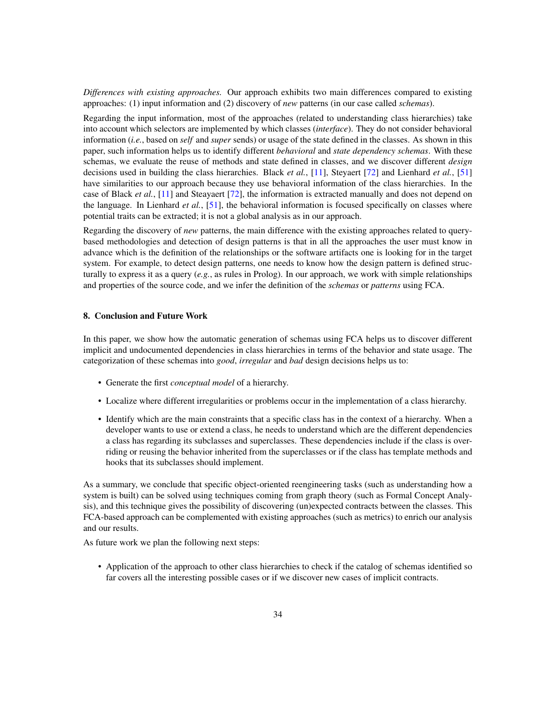*Differences with existing approaches.* Our approach exhibits two main differences compared to existing approaches: (1) input information and (2) discovery of *new* patterns (in our case called *schemas*).

Regarding the input information, most of the approaches (related to understanding class hierarchies) take into account which selectors are implemented by which classes (*interface*). They do not consider behavioral information (*i.e.*, based on *self* and *super* sends) or usage of the state defined in the classes. As shown in this paper, such information helps us to identify different *behavioral* and *state dependency schemas*. With these schemas, we evaluate the reuse of methods and state defined in classes, and we discover different *design* decisions used in building the class hierarchies. Black *et al.*, [\[11\]](#page-36-2), Steyaert [\[72\]](#page-40-4) and Lienhard *et al.*, [\[51\]](#page-38-8) have similarities to our approach because they use behavioral information of the class hierarchies. In the case of Black *et al.*, [\[11\]](#page-36-2) and Steayaert [\[72\]](#page-40-4), the information is extracted manually and does not depend on the language. In Lienhard *et al.*, [\[51\]](#page-38-8), the behavioral information is focused specifically on classes where potential traits can be extracted; it is not a global analysis as in our approach.

Regarding the discovery of *new* patterns, the main difference with the existing approaches related to querybased methodologies and detection of design patterns is that in all the approaches the user must know in advance which is the definition of the relationships or the software artifacts one is looking for in the target system. For example, to detect design patterns, one needs to know how the design pattern is defined structurally to express it as a query (*e.g.*, as rules in Prolog). In our approach, we work with simple relationships and properties of the source code, and we infer the definition of the *schemas* or *patterns* using FCA.

#### <span id="page-34-0"></span>8. Conclusion and Future Work

In this paper, we show how the automatic generation of schemas using FCA helps us to discover different implicit and undocumented dependencies in class hierarchies in terms of the behavior and state usage. The categorization of these schemas into *good*, *irregular* and *bad* design decisions helps us to:

- Generate the first *conceptual model* of a hierarchy.
- Localize where different irregularities or problems occur in the implementation of a class hierarchy.
- Identify which are the main constraints that a specific class has in the context of a hierarchy. When a developer wants to use or extend a class, he needs to understand which are the different dependencies a class has regarding its subclasses and superclasses. These dependencies include if the class is overriding or reusing the behavior inherited from the superclasses or if the class has template methods and hooks that its subclasses should implement.

As a summary, we conclude that specific object-oriented reengineering tasks (such as understanding how a system is built) can be solved using techniques coming from graph theory (such as Formal Concept Analysis), and this technique gives the possibility of discovering (un)expected contracts between the classes. This FCA-based approach can be complemented with existing approaches (such as metrics) to enrich our analysis and our results.

As future work we plan the following next steps:

• Application of the approach to other class hierarchies to check if the catalog of schemas identified so far covers all the interesting possible cases or if we discover new cases of implicit contracts.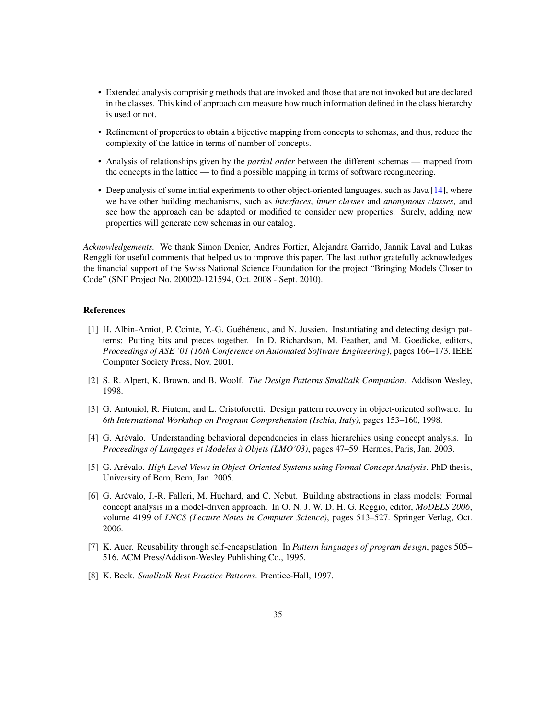- Extended analysis comprising methods that are invoked and those that are not invoked but are declared in the classes. This kind of approach can measure how much information defined in the class hierarchy is used or not.
- Refinement of properties to obtain a bijective mapping from concepts to schemas, and thus, reduce the complexity of the lattice in terms of number of concepts.
- Analysis of relationships given by the *partial order* between the different schemas mapped from the concepts in the lattice — to find a possible mapping in terms of software reengineering.
- Deep analysis of some initial experiments to other object-oriented languages, such as Java [\[14\]](#page-36-5), where we have other building mechanisms, such as *interfaces*, *inner classes* and *anonymous classes*, and see how the approach can be adapted or modified to consider new properties. Surely, adding new properties will generate new schemas in our catalog.

*Acknowledgements.* We thank Simon Denier, Andres Fortier, Alejandra Garrido, Jannik Laval and Lukas Renggli for useful comments that helped us to improve this paper. The last author gratefully acknowledges the financial support of the Swiss National Science Foundation for the project "Bringing Models Closer to Code" (SNF Project No. 200020-121594, Oct. 2008 - Sept. 2010).

# References

- <span id="page-35-6"></span>[1] H. Albin-Amiot, P. Cointe, Y.-G. Guéhéneuc, and N. Jussien. Instantiating and detecting design patterns: Putting bits and pieces together. In D. Richardson, M. Feather, and M. Goedicke, editors, *Proceedings of ASE '01 (16th Conference on Automated Software Engineering)*, pages 166–173. IEEE Computer Society Press, Nov. 2001.
- <span id="page-35-0"></span>[2] S. R. Alpert, K. Brown, and B. Woolf. *The Design Patterns Smalltalk Companion*. Addison Wesley, 1998.
- <span id="page-35-7"></span>[3] G. Antoniol, R. Fiutem, and L. Cristoforetti. Design pattern recovery in object-oriented software. In *6th International Workshop on Program Comprehension (Ischia, Italy)*, pages 153–160, 1998.
- <span id="page-35-1"></span>[4] G. Arevalo. Understanding behavioral dependencies in class hierarchies using concept analysis. In ´ *Proceedings of Langages et Modeles a Objets (LMO'03) `* , pages 47–59. Hermes, Paris, Jan. 2003.
- <span id="page-35-2"></span>[5] G. Arévalo. *High Level Views in Object-Oriented Systems using Formal Concept Analysis*. PhD thesis, University of Bern, Bern, Jan. 2005.
- <span id="page-35-5"></span>[6] G. Arévalo, J.-R. Falleri, M. Huchard, and C. Nebut. Building abstractions in class models: Formal concept analysis in a model-driven approach. In O. N. J. W. D. H. G. Reggio, editor, *MoDELS 2006*, volume 4199 of *LNCS (Lecture Notes in Computer Science)*, pages 513–527. Springer Verlag, Oct. 2006.
- <span id="page-35-4"></span>[7] K. Auer. Reusability through self-encapsulation. In *Pattern languages of program design*, pages 505– 516. ACM Press/Addison-Wesley Publishing Co., 1995.
- <span id="page-35-3"></span>[8] K. Beck. *Smalltalk Best Practice Patterns*. Prentice-Hall, 1997.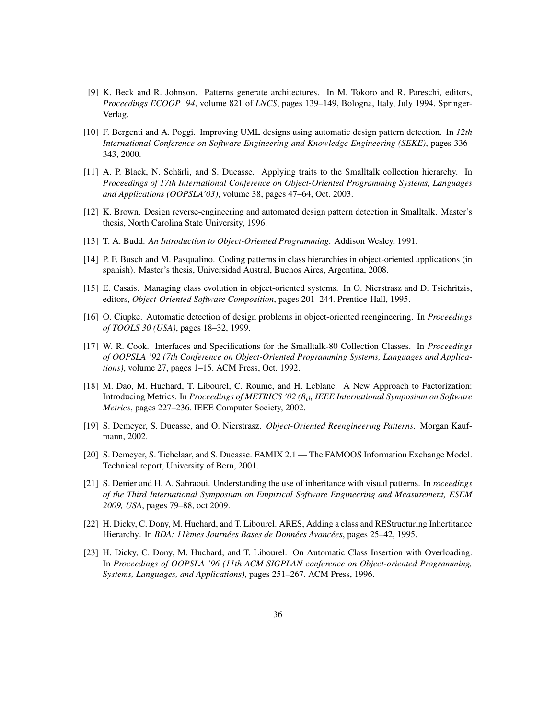- <span id="page-36-12"></span>[9] K. Beck and R. Johnson. Patterns generate architectures. In M. Tokoro and R. Pareschi, editors, *Proceedings ECOOP '94*, volume 821 of *LNCS*, pages 139–149, Bologna, Italy, July 1994. Springer-Verlag.
- <span id="page-36-14"></span>[10] F. Bergenti and A. Poggi. Improving UML designs using automatic design pattern detection. In *12th International Conference on Software Engineering and Knowledge Engineering (SEKE)*, pages 336– 343, 2000.
- <span id="page-36-2"></span>[11] A. P. Black, N. Schärli, and S. Ducasse. Applying traits to the Smalltalk collection hierarchy. In *Proceedings of 17th International Conference on Object-Oriented Programming Systems, Languages and Applications (OOPSLA'03)*, volume 38, pages 47–64, Oct. 2003.
- <span id="page-36-13"></span>[12] K. Brown. Design reverse-engineering and automated design pattern detection in Smalltalk. Master's thesis, North Carolina State University, 1996.
- <span id="page-36-0"></span>[13] T. A. Budd. *An Introduction to Object-Oriented Programming*. Addison Wesley, 1991.
- <span id="page-36-5"></span>[14] P. F. Busch and M. Pasqualino. Coding patterns in class hierarchies in object-oriented applications (in spanish). Master's thesis, Universidad Austral, Buenos Aires, Argentina, 2008.
- <span id="page-36-6"></span>[15] E. Casais. Managing class evolution in object-oriented systems. In O. Nierstrasz and D. Tsichritzis, editors, *Object-Oriented Software Composition*, pages 201–244. Prentice-Hall, 1995.
- <span id="page-36-11"></span>[16] O. Ciupke. Automatic detection of design problems in object-oriented reengineering. In *Proceedings of TOOLS 30 (USA)*, pages 18–32, 1999.
- <span id="page-36-3"></span>[17] W. R. Cook. Interfaces and Specifications for the Smalltalk-80 Collection Classes. In *Proceedings of OOPSLA '92 (7th Conference on Object-Oriented Programming Systems, Languages and Applications)*, volume 27, pages 1–15. ACM Press, Oct. 1992.
- <span id="page-36-10"></span>[18] M. Dao, M. Huchard, T. Libourel, C. Roume, and H. Leblanc. A New Approach to Factorization: Introducing Metrics. In *Proceedings of METRICS '02 (8*th *IEEE International Symposium on Software Metrics*, pages 227–236. IEEE Computer Society, 2002.
- <span id="page-36-1"></span>[19] S. Demeyer, S. Ducasse, and O. Nierstrasz. *Object-Oriented Reengineering Patterns*. Morgan Kaufmann, 2002.
- <span id="page-36-4"></span>[20] S. Demeyer, S. Tichelaar, and S. Ducasse. FAMIX 2.1 — The FAMOOS Information Exchange Model. Technical report, University of Bern, 2001.
- <span id="page-36-7"></span>[21] S. Denier and H. A. Sahraoui. Understanding the use of inheritance with visual patterns. In *roceedings of the Third International Symposium on Empirical Software Engineering and Measurement, ESEM 2009, USA*, pages 79–88, oct 2009.
- <span id="page-36-8"></span>[22] H. Dicky, C. Dony, M. Huchard, and T. Libourel. ARES, Adding a class and REStructuring Inhertitance Hierarchy. In *BDA: 11èmes Journées Bases de Données Avancées*, pages 25–42, 1995.
- <span id="page-36-9"></span>[23] H. Dicky, C. Dony, M. Huchard, and T. Libourel. On Automatic Class Insertion with Overloading. In *Proceedings of OOPSLA '96 (11th ACM SIGPLAN conference on Object-oriented Programming, Systems, Languages, and Applications)*, pages 251–267. ACM Press, 1996.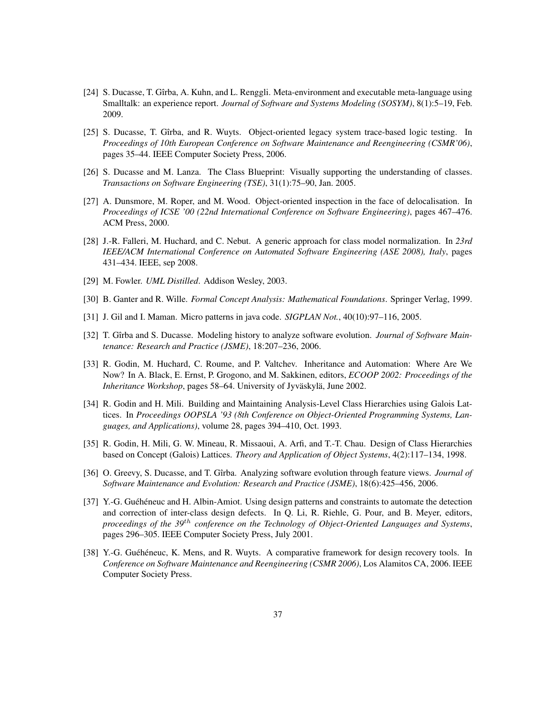- <span id="page-37-7"></span>[24] S. Ducasse, T. Gîrba, A. Kuhn, and L. Renggli. Meta-environment and executable meta-language using Smalltalk: an experience report. *Journal of Software and Systems Modeling (SOSYM)*, 8(1):5–19, Feb. 2009.
- <span id="page-37-12"></span>[25] S. Ducasse, T. Gîrba, and R. Wuyts. Object-oriented legacy system trace-based logic testing. In *Proceedings of 10th European Conference on Software Maintenance and Reengineering (CSMR'06)*, pages 35–44. IEEE Computer Society Press, 2006.
- <span id="page-37-4"></span>[26] S. Ducasse and M. Lanza. The Class Blueprint: Visually supporting the understanding of classes. *Transactions on Software Engineering (TSE)*, 31(1):75–90, Jan. 2005.
- <span id="page-37-1"></span>[27] A. Dunsmore, M. Roper, and M. Wood. Object-oriented inspection in the face of delocalisation. In *Proceedings of ICSE '00 (22nd International Conference on Software Engineering)*, pages 467–476. ACM Press, 2000.
- <span id="page-37-10"></span>[28] J.-R. Falleri, M. Huchard, and C. Nebut. A generic approach for class model normalization. In *23rd IEEE/ACM International Conference on Automated Software Engineering (ASE 2008), Italy*, pages 431–434. IEEE, sep 2008.
- <span id="page-37-0"></span>[29] M. Fowler. *UML Distilled*. Addison Wesley, 2003.
- <span id="page-37-3"></span>[30] B. Ganter and R. Wille. *Formal Concept Analysis: Mathematical Foundations*. Springer Verlag, 1999.
- <span id="page-37-11"></span>[31] J. Gil and I. Maman. Micro patterns in java code. *SIGPLAN Not.*, 40(10):97–116, 2005.
- <span id="page-37-5"></span>[32] T. Gîrba and S. Ducasse. Modeling history to analyze software evolution. *Journal of Software Maintenance: Research and Practice (JSME)*, 18:207–236, 2006.
- <span id="page-37-8"></span>[33] R. Godin, M. Huchard, C. Roume, and P. Valtchev. Inheritance and Automation: Where Are We Now? In A. Black, E. Ernst, P. Grogono, and M. Sakkinen, editors, *ECOOP 2002: Proceedings of the Inheritance Workshop*, pages 58–64. University of Jyväskylä, June 2002.
- <span id="page-37-9"></span>[34] R. Godin and H. Mili. Building and Maintaining Analysis-Level Class Hierarchies using Galois Lattices. In *Proceedings OOPSLA '93 (8th Conference on Object-Oriented Programming Systems, Languages, and Applications)*, volume 28, pages 394–410, Oct. 1993.
- <span id="page-37-2"></span>[35] R. Godin, H. Mili, G. W. Mineau, R. Missaoui, A. Arfi, and T.-T. Chau. Design of Class Hierarchies based on Concept (Galois) Lattices. *Theory and Application of Object Systems*, 4(2):117–134, 1998.
- <span id="page-37-6"></span>[36] O. Greevy, S. Ducasse, and T. Gˆırba. Analyzing software evolution through feature views. *Journal of Software Maintenance and Evolution: Research and Practice (JSME)*, 18(6):425–456, 2006.
- <span id="page-37-14"></span>[37] Y.-G. Guéhéneuc and H. Albin-Amiot. Using design patterns and constraints to automate the detection and correction of inter-class design defects. In Q. Li, R. Riehle, G. Pour, and B. Meyer, editors, *proceedings of the 39*th *conference on the Technology of Object-Oriented Languages and Systems*, pages 296–305. IEEE Computer Society Press, July 2001.
- <span id="page-37-13"></span>[38] Y.-G. Guéhéneuc, K. Mens, and R. Wuyts. A comparative framework for design recovery tools. In *Conference on Software Maintenance and Reengineering (CSMR 2006)*, Los Alamitos CA, 2006. IEEE Computer Society Press.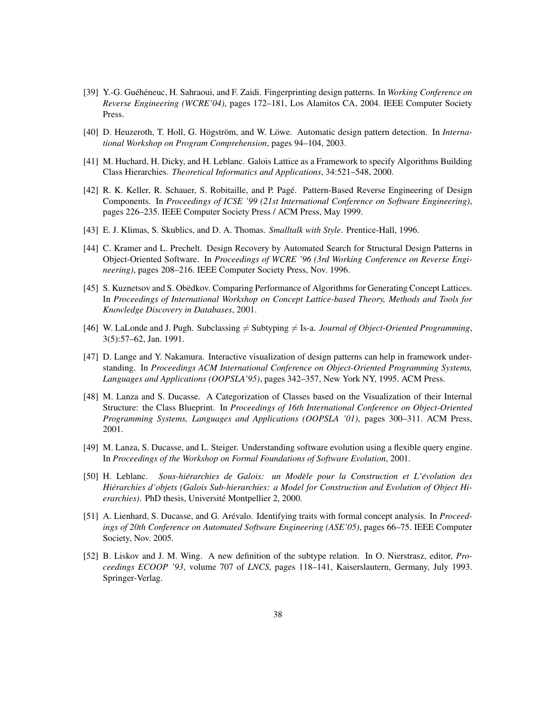- <span id="page-38-13"></span>[39] Y.-G. Guéhéneuc, H. Sahraoui, and F. Zaidi. Fingerprinting design patterns. In *Working Conference on Reverse Engineering (WCRE'04)*, pages 172–181, Los Alamitos CA, 2004. IEEE Computer Society Press.
- <span id="page-38-12"></span>[40] D. Heuzeroth, T. Holl, G. Högström, and W. Löwe. Automatic design pattern detection. In *International Workshop on Program Comprehension*, pages 94–104, 2003.
- <span id="page-38-6"></span>[41] M. Huchard, H. Dicky, and H. Leblanc. Galois Lattice as a Framework to specify Algorithms Building Class Hierarchies. *Theoretical Informatics and Applications*, 34:521–548, 2000.
- <span id="page-38-11"></span>[42] R. K. Keller, R. Schauer, S. Robitaille, and P. Pagé. Pattern-Based Reverse Engineering of Design Components. In *Proceedings of ICSE '99 (21st International Conference on Software Engineering)*, pages 226–235. IEEE Computer Society Press / ACM Press, May 1999.
- <span id="page-38-2"></span>[43] E. J. Klimas, S. Skublics, and D. A. Thomas. *Smalltalk with Style*. Prentice-Hall, 1996.
- <span id="page-38-10"></span>[44] C. Kramer and L. Prechelt. Design Recovery by Automated Search for Structural Design Patterns in Object-Oriented Software. In *Proceedings of WCRE '96 (3rd Working Conference on Reverse Engineering)*, pages 208–216. IEEE Computer Society Press, Nov. 1996.
- <span id="page-38-3"></span>[45] S. Kuznetsov and S. Obedkov. Comparing Performance of Algorithms for Generating Concept Lattices. In *Proceedings of International Workshop on Concept Lattice-based Theory, Methods and Tools for Knowledge Discovery in Databases*, 2001.
- <span id="page-38-0"></span>[46] W. LaLonde and J. Pugh. Subclassing  $\neq$  Subtyping  $\neq$  Is-a. *Journal of Object-Oriented Programming*, 3(5):57–62, Jan. 1991.
- <span id="page-38-4"></span>[47] D. Lange and Y. Nakamura. Interactive visualization of design patterns can help in framework understanding. In *Proceedings ACM International Conference on Object-Oriented Programming Systems, Languages and Applications (OOPSLA'95)*, pages 342–357, New York NY, 1995. ACM Press.
- <span id="page-38-5"></span>[48] M. Lanza and S. Ducasse. A Categorization of Classes based on the Visualization of their Internal Structure: the Class Blueprint. In *Proceedings of 16th International Conference on Object-Oriented Programming Systems, Languages and Applications (OOPSLA '01)*, pages 300–311. ACM Press, 2001.
- <span id="page-38-9"></span>[49] M. Lanza, S. Ducasse, and L. Steiger. Understanding software evolution using a flexible query engine. In *Proceedings of the Workshop on Formal Foundations of Software Evolution*, 2001.
- <span id="page-38-7"></span>[50] H. Leblanc. *Sous-hierarchies de Galois: un Mod ´ ele pour la Construction et L' ` evolution des ´ Hierarchies d'objets (Galois Sub-hierarchies: a Model for Construction and Evolution of Object Hi- ´ erarchies*). PhD thesis, Université Montpellier 2, 2000.
- <span id="page-38-8"></span>[51] A. Lienhard, S. Ducasse, and G. Arévalo. Identifying traits with formal concept analysis. In *Proceedings of 20th Conference on Automated Software Engineering (ASE'05)*, pages 66–75. IEEE Computer Society, Nov. 2005.
- <span id="page-38-1"></span>[52] B. Liskov and J. M. Wing. A new definition of the subtype relation. In O. Nierstrasz, editor, *Proceedings ECOOP '93*, volume 707 of *LNCS*, pages 118–141, Kaiserslautern, Germany, July 1993. Springer-Verlag.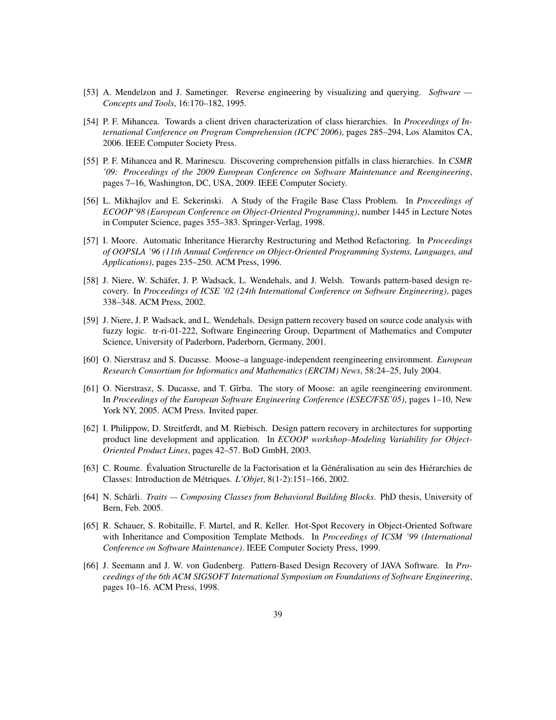- <span id="page-39-5"></span>[53] A. Mendelzon and J. Sametinger. Reverse engineering by visualizing and querying. *Software — Concepts and Tools*, 16:170–182, 1995.
- <span id="page-39-8"></span>[54] P. F. Mihancea. Towards a client driven characterization of class hierarchies. In *Proceedings of International Conference on Program Comprehension (ICPC 2006)*, pages 285–294, Los Alamitos CA, 2006. IEEE Computer Society Press.
- <span id="page-39-9"></span>[55] P. F. Mihancea and R. Marinescu. Discovering comprehension pitfalls in class hierarchies. In *CSMR '09: Proceedings of the 2009 European Conference on Software Maintenance and Reengineering*, pages 7–16, Washington, DC, USA, 2009. IEEE Computer Society.
- <span id="page-39-2"></span>[56] L. Mikhajlov and E. Sekerinski. A Study of the Fragile Base Class Problem. In *Proceedings of ECOOP'98 (European Conference on Object-Oriented Programming)*, number 1445 in Lecture Notes in Computer Science, pages 355–383. Springer-Verlag, 1998.
- <span id="page-39-6"></span>[57] I. Moore. Automatic Inheritance Hierarchy Restructuring and Method Refactoring. In *Proceedings of OOPSLA '96 (11th Annual Conference on Object-Oriented Programming Systems, Languages, and Applications)*, pages 235–250. ACM Press, 1996.
- <span id="page-39-12"></span>[58] J. Niere, W. Schäfer, J. P. Wadsack, L. Wendehals, and J. Welsh. Towards pattern-based design recovery. In *Proceedings of ICSE '02 (24th International Conference on Software Engineering)*, pages 338–348. ACM Press, 2002.
- <span id="page-39-13"></span>[59] J. Niere, J. P. Wadsack, and L. Wendehals. Design pattern recovery based on source code analysis with fuzzy logic. tr-ri-01-222, Software Engineering Group, Department of Mathematics and Computer Science, University of Paderborn, Paderborn, Germany, 2001.
- <span id="page-39-3"></span>[60] O. Nierstrasz and S. Ducasse. Moose–a language-independent reengineering environment. *European Research Consortium for Informatics and Mathematics (ERCIM) News*, 58:24–25, July 2004.
- <span id="page-39-1"></span>[61] O. Nierstrasz, S. Ducasse, and T. Gîrba. The story of Moose: an agile reengineering environment. In *Proceedings of the European Software Engineering Conference (ESEC/FSE'05)*, pages 1–10, New York NY, 2005. ACM Press. Invited paper.
- <span id="page-39-10"></span>[62] I. Philippow, D. Streitferdt, and M. Riebisch. Design pattern recovery in architectures for supporting product line development and application. In *ECOOP workshop–Modeling Variability for Object-Oriented Product Lines*, pages 42–57. BoD GmbH, 2003.
- <span id="page-39-7"></span>[63] C. Roume. Évaluation Structurelle de la Factorisation et la Généralisation au sein des Hiérarchies de Classes: Introduction de Métriques. *L'Objet*, 8(1-2):151–166, 2002.
- <span id="page-39-4"></span>[64] N. Schärli. *Traits — Composing Classes from Behavioral Building Blocks*. PhD thesis, University of Bern, Feb. 2005.
- <span id="page-39-0"></span>[65] R. Schauer, S. Robitaille, F. Martel, and R. Keller. Hot-Spot Recovery in Object-Oriented Software with Inheritance and Composition Template Methods. In *Proceedings of ICSM '99 (International Conference on Software Maintenance)*. IEEE Computer Society Press, 1999.
- <span id="page-39-11"></span>[66] J. Seemann and J. W. von Gudenberg. Pattern-Based Design Recovery of JAVA Software. In *Proceedings of the 6th ACM SIGSOFT International Symposium on Foundations of Software Engineering*, pages 10–16. ACM Press, 1998.